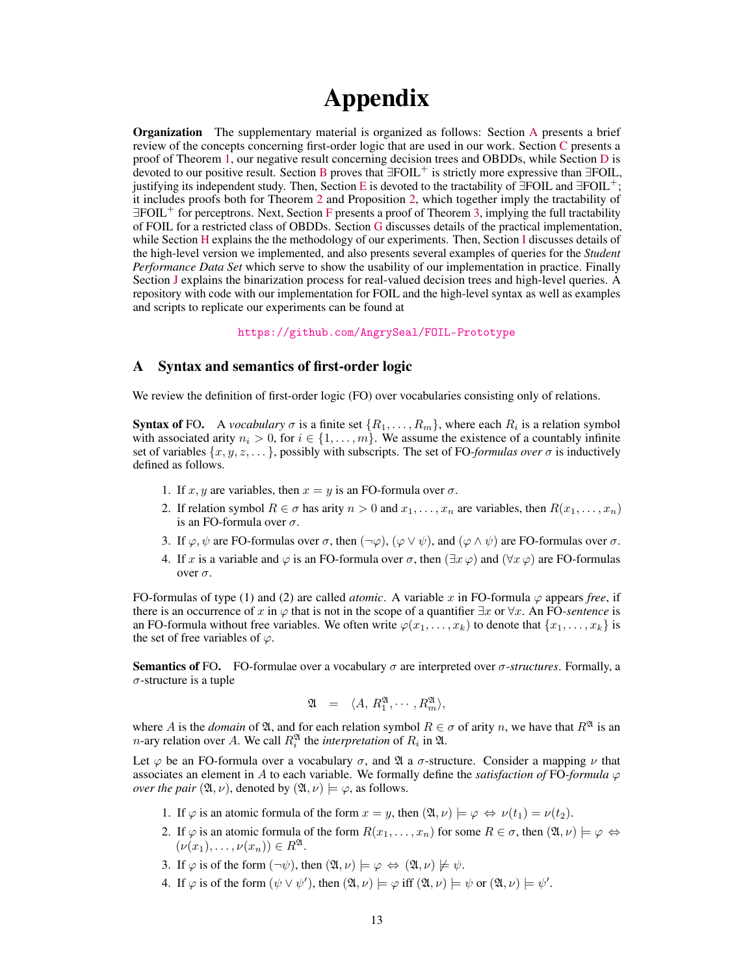# Appendix

Organization The supplementary material is organized as follows: Section [A](#page-0-0) presents a brief review of the concepts concerning first-order logic that are used in our work. Section [C](#page-1-0) presents a proof of Theorem [1,](#page--1-0) our negative result concerning decision trees and OBDDs, while Section [D](#page-4-0) is devoted to our positive result. Section [B](#page-1-1) proves that ∃FOIL<sup>+</sup> is strictly more expressive than ∃FOIL, justifying its independent study. Then, Section [E](#page-6-0) is devoted to the tractability of  $\exists$ FOIL and  $\exists$ FOIL<sup>+</sup>; it includes proofs both for Theorem [2](#page--1-1) and Proposition [2,](#page--1-2) which together imply the tractability of ∃FOIL<sup>+</sup> for perceptrons. Next, Section [F](#page-13-0) presents a proof of Theorem [3,](#page--1-3) implying the full tractability of FOIL for a restricted class of OBDDs. Section [G](#page-17-0) discusses details of the practical implementation, while Section [H](#page-18-0) explains the the methodology of our experiments. Then, Section [I](#page-18-1) discusses details of the high-level version we implemented, and also presents several examples of queries for the *Student Performance Data Set* which serve to show the usability of our implementation in practice. Finally Section [J](#page-19-0) explains the binarization process for real-valued decision trees and high-level queries. A repository with code with our implementation for FOIL and the high-level syntax as well as examples and scripts to replicate our experiments can be found at

<https://github.com/AngrySeal/FOIL-Prototype>

#### <span id="page-0-0"></span>A Syntax and semantics of first-order logic

We review the definition of first-order logic (FO) over vocabularies consisting only of relations.

**Syntax of FO.** A *vocabulary*  $\sigma$  is a finite set  $\{R_1, \ldots, R_m\}$ , where each  $R_i$  is a relation symbol with associated arity  $n_i > 0$ , for  $i \in \{1, \ldots, m\}$ . We assume the existence of a countably infinite set of variables  $\{x, y, z, \dots\}$ , possibly with subscripts. The set of FO-*formulas over*  $\sigma$  is inductively defined as follows.

- 1. If x, y are variables, then  $x = y$  is an FO-formula over  $\sigma$ .
- 2. If relation symbol  $R \in \sigma$  has arity  $n > 0$  and  $x_1, \ldots, x_n$  are variables, then  $R(x_1, \ldots, x_n)$ is an FO-formula over  $\sigma$ .
- 3. If  $\varphi, \psi$  are FO-formulas over  $\sigma$ , then  $(\neg \varphi), (\varphi \vee \psi)$ , and  $(\varphi \wedge \psi)$  are FO-formulas over  $\sigma$ .
- 4. If x is a variable and  $\varphi$  is an FO-formula over  $\sigma$ , then  $(\exists x \varphi)$  and  $(\forall x \varphi)$  are FO-formulas over σ.

FO-formulas of type (1) and (2) are called *atomic*. A variable x in FO-formula  $\varphi$  appears *free*, if there is an occurrence of x in  $\varphi$  that is not in the scope of a quantifier  $\exists x$  or  $\forall x$ . An FO-sentence is an FO-formula without free variables. We often write  $\varphi(x_1, \ldots, x_k)$  to denote that  $\{x_1, \ldots, x_k\}$  is the set of free variables of  $\varphi$ .

**Semantics of FO.** FO-formulae over a vocabulary  $\sigma$  are interpreted over  $\sigma$ -structures. Formally, a  $\sigma$ -structure is a tuple

$$
\mathfrak{A} = \langle A, R_1^{\mathfrak{A}}, \cdots, R_m^{\mathfrak{A}} \rangle,
$$

where A is the *domain* of  $\mathfrak{A}$ , and for each relation symbol  $R \in \sigma$  of arity n, we have that  $R^{\mathfrak{A}}$  is an *n*-ary relation over A. We call  $R_i^{\mathfrak{A}}$  the *interpretation* of  $R_i$  in  $\mathfrak{A}$ .

Let  $\varphi$  be an FO-formula over a vocabulary  $\sigma$ , and  $\mathfrak A$  a  $\sigma$ -structure. Consider a mapping  $\nu$  that associates an element in A to each variable. We formally define the *satisfaction of* FO-*formula*  $\varphi$ *over the pair*  $(\mathfrak{A}, \nu)$ , denoted by  $(\mathfrak{A}, \nu) \models \varphi$ , as follows.

- 1. If  $\varphi$  is an atomic formula of the form  $x = y$ , then  $(\mathfrak{A}, \nu) \models \varphi \Leftrightarrow \nu(t_1) = \nu(t_2)$ .
- 2. If  $\varphi$  is an atomic formula of the form  $R(x_1, \ldots, x_n)$  for some  $R \in \sigma$ , then  $(\mathfrak{A}, \nu) \models \varphi \Leftrightarrow \bot$  $(\nu(x_1), \ldots, \nu(x_n)) \in R^{\mathfrak{A}}.$
- 3. If  $\varphi$  is of the form  $(\neg \psi)$ , then  $(\mathfrak{A}, \nu) \models \varphi \Leftrightarrow (\mathfrak{A}, \nu) \not\models \psi$ .
- 4. If  $\varphi$  is of the form  $(\psi \lor \psi')$ , then  $(\mathfrak{A}, \nu) \models \varphi$  iff  $(\mathfrak{A}, \nu) \models \psi$  or  $(\mathfrak{A}, \nu) \models \psi'$ .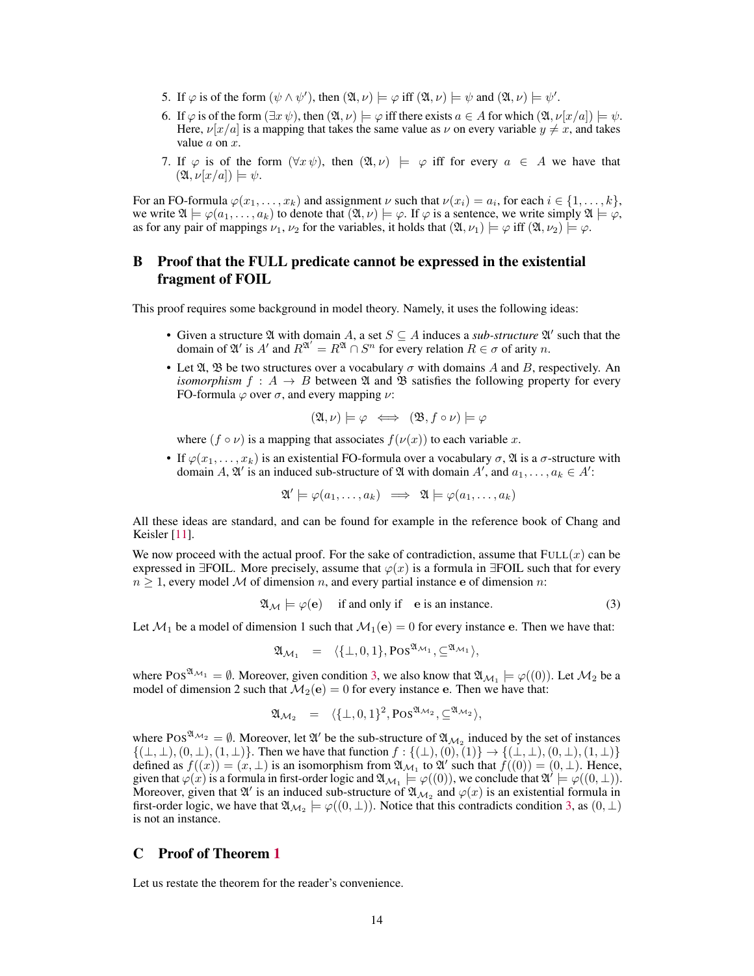- 5. If  $\varphi$  is of the form  $(\psi \wedge \psi')$ , then  $(\mathfrak{A}, \nu) \models \varphi$  iff  $(\mathfrak{A}, \nu) \models \psi$  and  $(\mathfrak{A}, \nu) \models \psi'$ .
- 6. If  $\varphi$  is of the form  $(\exists x \psi)$ , then  $(\mathfrak{A}, \nu) \models \varphi$  iff there exists  $a \in A$  for which  $(\mathfrak{A}, \nu[x/a]) \models \psi$ . Here,  $\nu[x/a]$  is a mapping that takes the same value as  $\nu$  on every variable  $y \neq x$ , and takes value  $a$  on  $x$ .
- 7. If  $\varphi$  is of the form  $(\forall x \psi)$ , then  $(\mathfrak{A}, \nu) \models \varphi$  iff for every  $a \in A$  we have that  $(\mathfrak{A}, \nu[x/a]) \models \psi.$

For an FO-formula  $\varphi(x_1,\ldots,x_k)$  and assignment  $\nu$  such that  $\nu(x_i) = a_i$ , for each  $i \in \{1,\ldots,k\}$ , we write  $\mathfrak{A} \models \varphi(a_1,\ldots,a_k)$  to denote that  $(\mathfrak{A},\nu) \models \varphi$ . If  $\varphi$  is a sentence, we write simply  $\mathfrak{A} \models \varphi$ , as for any pair of mappings  $\nu_1, \nu_2$  for the variables, it holds that  $(\mathfrak{A}, \nu_1) \models \varphi$  iff  $(\mathfrak{A}, \nu_2) \models \varphi$ .

## <span id="page-1-1"></span>B Proof that the FULL predicate cannot be expressed in the existential fragment of FOIL

This proof requires some background in model theory. Namely, it uses the following ideas:

- Given a structure  $\mathfrak A$  with domain A, a set  $S \subseteq A$  induces a *sub-structure*  $\mathfrak A'$  such that the domain of  $\mathfrak{A}'$  is A' and  $R^{\mathfrak{A}'} = R^{\mathfrak{A}} \cap S^n$  for every relation  $R \in \sigma$  of arity n.
- Let  $\mathfrak{A}, \mathfrak{B}$  be two structures over a vocabulary  $\sigma$  with domains A and B, respectively. An *isomorphism*  $f : A \rightarrow B$  between  $\mathfrak A$  and  $\mathfrak B$  satisfies the following property for every FO-formula  $\varphi$  over  $\sigma$ , and every mapping  $\nu$ :

$$
(\mathfrak{A}, \nu) \models \varphi \iff (\mathfrak{B}, f \circ \nu) \models \varphi
$$

where  $(f \circ \nu)$  is a mapping that associates  $f(\nu(x))$  to each variable x.

• If  $\varphi(x_1,\ldots,x_k)$  is an existential FO-formula over a vocabulary  $\sigma$ ,  $\mathfrak A$  is a  $\sigma$ -structure with domain A,  $\mathfrak{A}'$  is an induced sub-structure of  $\mathfrak A$  with domain  $A'$ , and  $a_1, \ldots, a_k \in A'$ :

$$
\mathfrak{A}' \models \varphi(a_1, \dots, a_k) \implies \mathfrak{A} \models \varphi(a_1, \dots, a_k)
$$

All these ideas are standard, and can be found for example in the reference book of Chang and Keisler [\[11\]](#page--1-4).

We now proceed with the actual proof. For the sake of contradiction, assume that  $FULL(x)$  can be expressed in  $\exists$ FOIL. More precisely, assume that  $\varphi(x)$  is a formula in  $\exists$ FOIL such that for every  $n \geq 1$ , every model M of dimension n, and every partial instance e of dimension n:

<span id="page-1-2"></span>
$$
\mathfrak{A}_{\mathcal{M}} \models \varphi(\mathbf{e}) \quad \text{if and only if} \quad \mathbf{e} \text{ is an instance.} \tag{3}
$$

Let  $\mathcal{M}_1$  be a model of dimension 1 such that  $\mathcal{M}_1(e) = 0$  for every instance e. Then we have that:

$$
\mathfrak{A}_{\mathcal{M}_1} = \langle \{\bot, 0, 1\}, \text{Pos}^{\mathfrak{A}_{\mathcal{M}_1}}, \subseteq^{\mathfrak{A}_{\mathcal{M}_1}} \rangle,
$$

where POS<sup> $\mathfrak{A}_{\mathcal{M}_1} = \emptyset$ . Moreover, given condition [3,](#page-1-2) we also know that  $\mathfrak{A}_{\mathcal{M}_1} \models \varphi((0))$ . Let  $\mathcal{M}_2$  be a</sup> model of dimension 2 such that  $\mathcal{M}_2(\mathbf{e}) = 0$  for every instance e. Then we have that:

$$
\mathfrak{A}_{\mathcal{M}_2} \;\; = \;\; \langle \{\bot, 0, 1\}^2, \text{Pos}^{\mathfrak{A}_{\mathcal{M}_2}}, \subseteq^{\mathfrak{A}_{\mathcal{M}_2}} \rangle,
$$

where POS<sup> $\mathfrak{A}_{\mathcal{M}_2} = \emptyset$ . Moreover, let  $\mathfrak{A}'$  be the sub-structure of  $\mathfrak{A}_{\mathcal{M}_2}$  induced by the set of instances</sup>  $\{(\perp, \perp), (0, \perp), (1, \perp)\}.$  Then we have that function  $f : \{(\perp), (0), (1)\} \to \{(\perp, \perp), (0, \perp), (1, \perp)\}$ defined as  $f((x)) = (x, \perp)$  is an isomorphism from  $\mathfrak{A}_{\mathcal{M}_1}$  to  $\mathfrak{A}'$  such that  $f((0)) = (0, \perp)$ . Hence, given that  $\varphi(x)$  is a formula in first-order logic and  $\mathfrak{A}_{\mathcal{M}_1} \models \varphi((0))$ , we conclude that  $\mathfrak{A}' \models \varphi((0, \bot))$ . Moreover, given that  $\mathfrak{A}'$  is an induced sub-structure of  $\mathfrak{A}_{\mathcal{M}_2}$  and  $\varphi(x)$  is an existential formula in first-order logic, we have that  $\mathfrak{A}_{\mathcal{M}_2} \models \varphi((0, \bot))$ . Notice that this contradicts condition [3,](#page-1-2) as  $(0, \bot)$ is not an instance.

#### <span id="page-1-0"></span>C Proof of Theorem [1](#page--1-0)

Let us restate the theorem for the reader's convenience.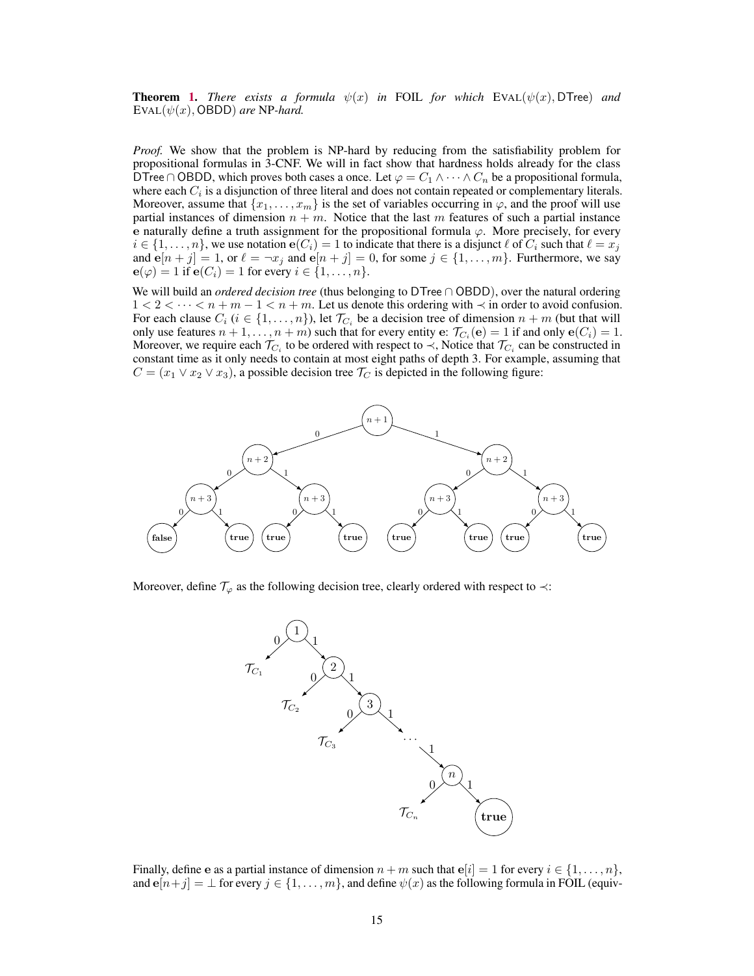**Theorem [1.](#page--1-0)** *There exists a formula*  $\psi(x)$  *in* FOIL *for which* EVAL( $\psi(x)$ , DTree) *and*  $EVAL(\psi(x), OBDD)$  *are* NP-*hard.* 

*Proof.* We show that the problem is NP-hard by reducing from the satisfiability problem for propositional formulas in 3-CNF. We will in fact show that hardness holds already for the class DTree ∩ OBDD, which proves both cases a once. Let  $\varphi = C_1 \wedge \cdots \wedge C_n$  be a propositional formula, where each  $C_i$  is a disjunction of three literal and does not contain repeated or complementary literals. Moreover, assume that  ${x_1, \ldots, x_m}$  is the set of variables occurring in  $\varphi$ , and the proof will use partial instances of dimension  $n + m$ . Notice that the last m features of such a partial instance e naturally define a truth assignment for the propositional formula  $\varphi$ . More precisely, for every  $i \in \{1, \ldots, n\}$ , we use notation  $e(C_i) = 1$  to indicate that there is a disjunct  $\ell$  of  $C_i$  such that  $\ell = x_j$ and  $e[n + j] = 1$ , or  $\ell = \neg x_j$  and  $e[n + j] = 0$ , for some  $j \in \{1, ..., m\}$ . Furthermore, we say  $e(\varphi) = 1$  if  $e(C_i) = 1$  for every  $i \in \{1, \ldots, n\}.$ 

We will build an *ordered decision tree* (thus belonging to DTree ∩ OBDD), over the natural ordering  $1 < 2 < \cdots < n + m - 1 < n + m$ . Let us denote this ordering with  $\prec$  in order to avoid confusion. For each clause  $C_i$  ( $i \in \{1, \ldots, n\}$ ), let  $\mathcal{T}_{C_i}$  be a decision tree of dimension  $n + m$  (but that will only use features  $n+1,\ldots,n+m$ ) such that for every entity  $e: \mathcal{T}_{C_i}(e) = 1$  if and only  $e(C_i) = 1$ . Moreover, we require each  $\mathcal{T}_{C_i}$  to be ordered with respect to  $\prec$ , Notice that  $\mathcal{T}_{C_i}$  can be constructed in constant time as it only needs to contain at most eight paths of depth 3. For example, assuming that  $C = (x_1 \vee x_2 \vee x_3)$ , a possible decision tree  $\mathcal{T}_C$  is depicted in the following figure:



Moreover, define  $\mathcal{T}_{\varphi}$  as the following decision tree, clearly ordered with respect to  $\prec$ :



Finally, define e as a partial instance of dimension  $n + m$  such that  $e[i] = 1$  for every  $i \in \{1, ..., n\}$ , and  $e[n+j] = \perp$  for every  $j \in \{1, \ldots, m\}$ , and define  $\psi(x)$  as the following formula in FOIL (equiv-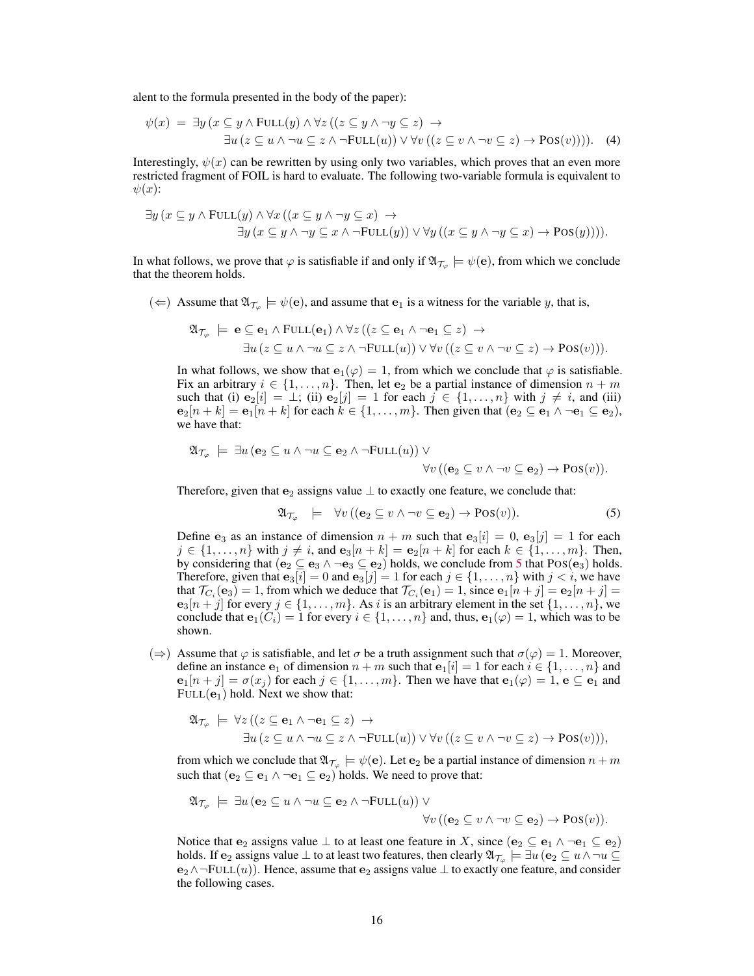alent to the formula presented in the body of the paper):

$$
\psi(x) = \exists y \left( x \subseteq y \land \text{FULL}(y) \land \forall z \left( \left( z \subseteq y \land \neg y \subseteq z \right) \rightarrow \exists u \left( z \subseteq u \land \neg u \subseteq z \land \neg \text{FULL}(u) \right) \lor \forall v \left( \left( z \subseteq v \land \neg v \subseteq z \right) \rightarrow \text{Pos}(v) \right) \right) \right).
$$
 (4)

Interestingly,  $\psi(x)$  can be rewritten by using only two variables, which proves that an even more restricted fragment of FOIL is hard to evaluate. The following two-variable formula is equivalent to  $\psi(x)$ :

$$
\exists y \, (x \subseteq y \land \text{FULL}(y) \land \forall x \, ((x \subseteq y \land \neg y \subseteq x) \rightarrow \exists y \, (x \subseteq y \land \neg y \subseteq x \land \neg \text{FULL}(y)) \lor \forall y \, ((x \subseteq y \land \neg y \subseteq x) \rightarrow \text{Pos}(y)))).
$$

In what follows, we prove that  $\varphi$  is satisfiable if and only if  $\mathfrak{A}_{\mathcal{T}_\varphi} \models \psi(\mathbf{e})$ , from which we conclude that the theorem holds.

( $\Leftarrow$ ) Assume that  $\mathfrak{A}_{\mathcal{T}_{\varphi}} \models \psi(\mathbf{e})$ , and assume that  $\mathbf{e}_1$  is a witness for the variable y, that is,

$$
\mathfrak{A}_{\mathcal{T}_{\varphi}} \models \mathbf{e} \subseteq \mathbf{e}_1 \land \text{FULL}(\mathbf{e}_1) \land \forall z ((z \subseteq \mathbf{e}_1 \land \neg \mathbf{e}_1 \subseteq z) \rightarrow \exists u (z \subseteq u \land \neg u \subseteq z \land \neg \text{FULL}(u)) \lor \forall v ((z \subseteq v \land \neg v \subseteq z) \rightarrow \text{Pos}(v))).
$$

In what follows, we show that  $e_1(\varphi) = 1$ , from which we conclude that  $\varphi$  is satisfiable. Fix an arbitrary  $i \in \{1, \ldots, n\}$ . Then, let  $e_2$  be a partial instance of dimension  $n + m$ such that (i)  $e_2[i] = \bot$ ; (ii)  $e_2[j] = 1$  for each  $j \in \{1, \ldots, n\}$  with  $j \neq i$ , and (iii)  $e_2[n+k] = e_1[n+k]$  for each  $k \in \{1, \ldots, m\}$ . Then given that  $(e_2 \subseteq e_1 \land \neg e_1 \subseteq e_2)$ , we have that:

$$
\mathfrak{A}_{\mathcal{T}_{\varphi}} \models \exists u \left( \mathbf{e}_2 \subseteq u \land \neg u \subseteq \mathbf{e}_2 \land \neg \text{FULL}(u) \right) \lor \forall v \left( \left( \mathbf{e}_2 \subseteq v \land \neg v \subseteq \mathbf{e}_2 \right) \to \text{Pos}(v) \right).
$$

Therefore, given that  $e_2$  assigns value  $\perp$  to exactly one feature, we conclude that:

<span id="page-3-0"></span>
$$
\mathfrak{A}_{\mathcal{T}_{\varphi}} \models \forall v \left( (\mathbf{e}_2 \subseteq v \land \neg v \subseteq \mathbf{e}_2) \to \text{Pos}(v) \right). \tag{5}
$$

Define  $e_3$  as an instance of dimension  $n + m$  such that  $e_3[i] = 0$ ,  $e_3[j] = 1$  for each  $j \in \{1, \ldots, n\}$  with  $j \neq i$ , and  $\mathbf{e}_3[n+k] = \mathbf{e}_2[n+k]$  for each  $k \in \{1, \ldots, m\}$ . Then, by considering that  $(e_2 \subseteq e_3 \land \neg e_3 \subseteq e_2)$  holds, we conclude from [5](#page-3-0) that POS $(e_3)$  holds. Therefore, given that  $e_3[i] = 0$  and  $e_3[j] = 1$  for each  $j \in \{1, ..., n\}$  with  $j < i$ , we have that  $\mathcal{T}_{C_i}(\mathbf{e}_3) = 1$ , from which we deduce that  $\mathcal{T}_{C_i}(\mathbf{e}_1) = 1$ , since  $\mathbf{e}_1[n+j] = \mathbf{e}_2[n+j] =$  ${\bf e}_{3}[n+j]$  for every  $j \in \{1, \ldots, m\}$ . As i is an arbitrary element in the set  $\{1, \ldots, n\}$ , we conclude that  $e_1(C_i) = 1$  for every  $i \in \{1, \ldots, n\}$  and, thus,  $e_1(\varphi) = 1$ , which was to be shown.

 $(\Rightarrow)$  Assume that  $\varphi$  is satisfiable, and let  $\sigma$  be a truth assignment such that  $\sigma(\varphi) = 1$ . Moreover, define an instance  $e_1$  of dimension  $n + m$  such that  $e_1[i] = 1$  for each  $i \in \{1, ..., n\}$  and  $e_1[n+j] = \sigma(x_i)$  for each  $j \in \{1, \ldots, m\}$ . Then we have that  $e_1(\varphi) = 1$ ,  $e \subseteq e_1$  and  $FULL(e<sub>1</sub>)$  hold. Next we show that:

$$
\mathfrak{A}_{\mathcal{T}_{\varphi}} \models \forall z ((z \subseteq \mathbf{e}_1 \land \neg \mathbf{e}_1 \subseteq z) \rightarrow \exists u (z \subseteq u \land \neg u \subseteq z \land \neg \text{FULL}(u)) \lor \forall v ((z \subseteq v \land \neg v \subseteq z) \rightarrow \text{Pos}(v))),
$$

from which we conclude that  $\mathfrak{A}_{\mathcal{T}_{\varphi}} \models \psi(\mathbf{e})$ . Let  $\mathbf{e}_2$  be a partial instance of dimension  $n + m$ such that  $(e_2 \subseteq e_1 \land \neg e_1 \subseteq e_2)$  holds. We need to prove that:

$$
\mathfrak{A}_{\mathcal{T}_{\varphi}} \models \exists u \left( \mathbf{e}_2 \subseteq u \land \neg u \subseteq \mathbf{e}_2 \land \neg \text{FULL}(u) \right) \lor \forall v \left( \left( \mathbf{e}_2 \subseteq v \land \neg v \subseteq \mathbf{e}_2 \right) \to \text{Pos}(v) \right).
$$

Notice that  $e_2$  assigns value  $\perp$  to at least one feature in X, since  $(e_2 \subseteq e_1 \land \neg e_1 \subseteq e_2)$ holds. If  ${\bf e}_2$  assigns value  $\bot$  to at least two features, then clearly  $\mathfrak{A}_{\mathcal{T}_\varphi}\models \exists u\, ({\bf e}_2\subseteq u\wedge \neg u\subseteq$  $e_2 \wedge \neg \text{FULL}(u)$ ). Hence, assume that  $e_2$  assigns value  $\perp$  to exactly one feature, and consider the following cases.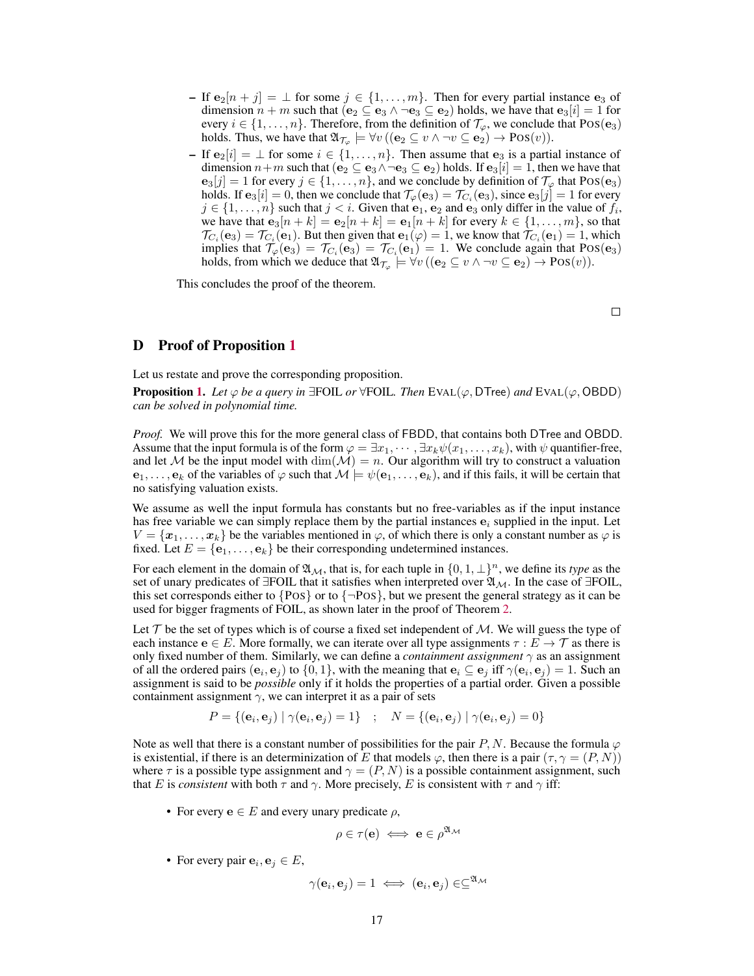- If  $e_2[n+j] = \bot$  for some  $j \in \{1, \ldots, m\}$ . Then for every partial instance  $e_3$  of dimension  $n + m$  such that  $(e_2 \subseteq e_3 \land \neg e_3 \subseteq e_2)$  holds, we have that  $e_3[i] = 1$  for every  $i \in \{1, \ldots, n\}$ . Therefore, from the definition of  $\mathcal{T}_{\varphi}$ , we conclude that POS( $\mathbf{e}_3$ ) holds. Thus, we have that  $\mathfrak{A}_{\mathcal{T}_{\varphi}} \models \forall v \, ((\mathbf{e}_2 \subseteq v \land \neg v \subseteq \mathbf{e}_2) \to \text{Pos}(v)).$
- If  $e_2[i] = \bot$  for some  $i \in \{1, \ldots, n\}$ . Then assume that  $e_3$  is a partial instance of dimension  $n+m$  such that  $(e_2 \subseteq e_3 \land \neg e_3 \subseteq e_2)$  holds. If  $e_3[i] = 1$ , then we have that  $e_3[j] = 1$  for every  $j \in \{1, ..., n\}$ , and we conclude by definition of  $\mathcal{T}_{\varphi}$  that  $Pos(e_3)$ holds. If  ${\bf e}_3[i]=0$ , then we conclude that  $\mathcal{T}_\varphi({\bf e}_3)=\mathcal{T}_{C_i}({\bf e}_3),$  since  ${\bf e}_3[j]=1$  for every  $j \in \{1, \ldots, n\}$  such that  $j < i$ . Given that  $e_1, e_2$  and  $e_3$  only differ in the value of  $f_i$ , we have that  $e_3[n + k] = e_2[n + k] = e_1[n + k]$  for every  $k \in \{1, ..., m\}$ , so that  $\mathcal{T}_{C_i}(e_3) = \mathcal{T}_{C_i}(e_1)$ . But then given that  $e_1(\varphi) = 1$ , we know that  $\mathcal{T}_{C_i}(e_1) = 1$ , which implies that  $\mathcal{T}_{\varphi}(\mathbf{e}_3) = \mathcal{T}_{C_i}(\mathbf{e}_3) = \mathcal{T}_{C_i}(\mathbf{e}_1) = 1$ . We conclude again that POS( $\mathbf{e}_3$ ) holds, from which we deduce that  $\mathfrak{A}_{\mathcal{T}_{\varphi}} \models \forall v \, ((\mathbf{e}_2 \subseteq v \land \neg v \subseteq \mathbf{e}_2) \to \text{Pos}(v)).$

This concludes the proof of the theorem.

 $\Box$ 

## <span id="page-4-0"></span>D Proof of Proposition [1](#page--1-5)

Let us restate and prove the corresponding proposition.

**Proposition [1.](#page--1-5)** *Let*  $\varphi$  *be a query in*  $\exists$  FOIL *or*  $\forall$  FOIL. *Then* EVAL( $\varphi$ , DTree) *and* EVAL( $\varphi$ , OBDD) *can be solved in polynomial time.*

*Proof.* We will prove this for the more general class of FBDD, that contains both DTree and OBDD. Assume that the input formula is of the form  $\varphi = \exists x_1, \dots, \exists x_k \psi(x_1, \dots, x_k)$ , with  $\psi$  quantifier-free, and let M be the input model with  $\dim(\mathcal{M}) = n$ . Our algorithm will try to construct a valuation  $e_1, \ldots, e_k$  of the variables of  $\varphi$  such that  $\mathcal{M} \models \psi(e_1, \ldots, e_k)$ , and if this fails, it will be certain that no satisfying valuation exists.

We assume as well the input formula has constants but no free-variables as if the input instance has free variable we can simply replace them by the partial instances  $e_i$  supplied in the input. Let  $V = \{x_1, \ldots, x_k\}$  be the variables mentioned in  $\varphi$ , of which there is only a constant number as  $\varphi$  is fixed. Let  $E = {\bf{e}_1, \ldots, \bf{e}_k}$  be their corresponding undetermined instances.

For each element in the domain of  $\mathfrak{A}_{\mathcal{M}}$ , that is, for each tuple in  $\{0, 1, \perp\}^n$ , we define its *type* as the set of unary predicates of  $\exists$ FOIL that it satisfies when interpreted over  $\mathfrak{A}_{\mathcal{M}}$ . In the case of  $\exists$ FOIL, this set corresponds either to  $\{Pos\}$  or to  $\{\neg Pos\}$ , but we present the general strategy as it can be used for bigger fragments of FOIL, as shown later in the proof of Theorem [2.](#page--1-1)

Let  $T$  be the set of types which is of course a fixed set independent of  $M$ . We will guess the type of each instance  $e \in E$ . More formally, we can iterate over all type assignments  $\tau : E \to \mathcal{T}$  as there is only fixed number of them. Similarly, we can define a *containment assignment*  $\gamma$  as an assignment of all the ordered pairs  $(e_i, e_j)$  to  $\{0, 1\}$ , with the meaning that  $e_i \subseteq e_j$  iff  $\gamma(e_i, e_j) = 1$ . Such an assignment is said to be *possible* only if it holds the properties of a partial order. Given a possible containment assignment  $\gamma$ , we can interpret it as a pair of sets

$$
P = \{(\mathbf{e}_i, \mathbf{e}_j) | \gamma(\mathbf{e}_i, \mathbf{e}_j) = 1\} \ ; \quad N = \{(\mathbf{e}_i, \mathbf{e}_j) | \gamma(\mathbf{e}_i, \mathbf{e}_j) = 0\}
$$

Note as well that there is a constant number of possibilities for the pair P, N. Because the formula  $\varphi$ is existential, if there is an determinization of E that models  $\varphi$ , then there is a pair  $(\tau, \gamma = (P, N))$ where  $\tau$  is a possible type assignment and  $\gamma = (P, N)$  is a possible containment assignment, such that E is *consistent* with both  $\tau$  and  $\gamma$ . More precisely, E is consistent with  $\tau$  and  $\gamma$  iff:

• For every  $e \in E$  and every unary predicate  $\rho$ ,

 $\rho \in \tau(\mathbf{e}) \iff \mathbf{e} \in \rho^{\mathfrak{A}_\mathcal{M}}$ 

• For every pair  $e_i, e_j \in E$ ,

$$
\gamma(\mathbf{e}_i, \mathbf{e}_j) = 1 \iff (\mathbf{e}_i, \mathbf{e}_j) \in \subseteq^{\mathfrak{A}_{\mathcal{M}}}
$$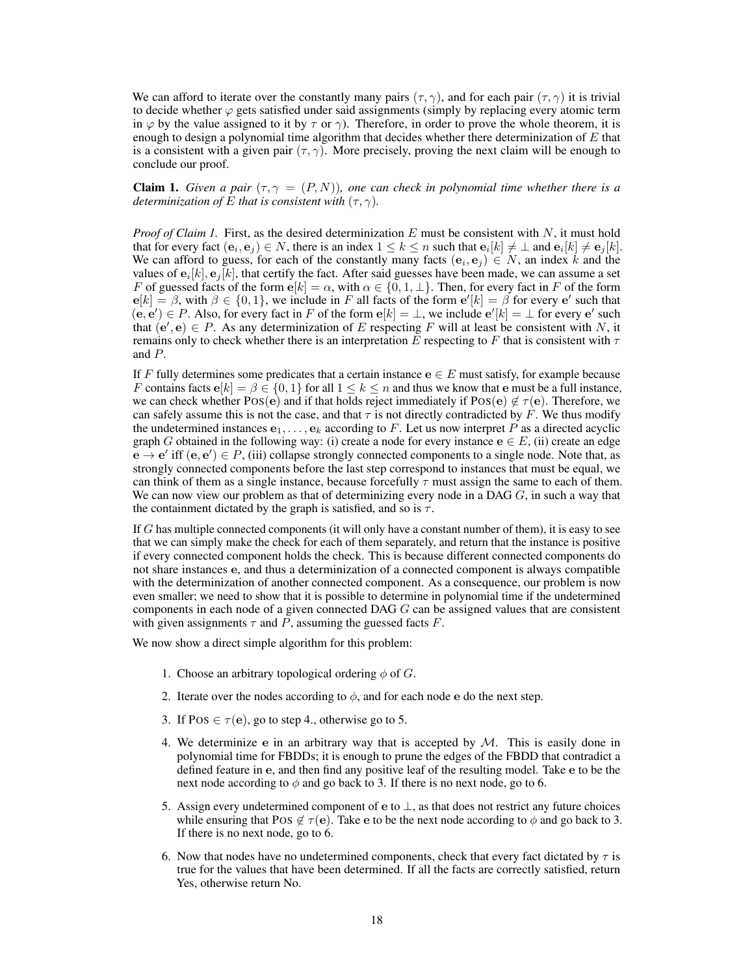We can afford to iterate over the constantly many pairs  $(\tau, \gamma)$ , and for each pair  $(\tau, \gamma)$  it is trivial to decide whether  $\varphi$  gets satisfied under said assignments (simply by replacing every atomic term in  $\varphi$  by the value assigned to it by  $\tau$  or  $\gamma$ ). Therefore, in order to prove the whole theorem, it is enough to design a polynomial time algorithm that decides whether there determinization of  $E$  that is a consistent with a given pair  $(\tau, \gamma)$ . More precisely, proving the next claim will be enough to conclude our proof.

**Claim 1.** *Given a pair*  $(\tau, \gamma = (P, N))$ *, one can check in polynomial time whether there is a determinization of* E *that is consistent with*  $(\tau, \gamma)$ *.* 

*Proof of Claim 1.* First, as the desired determinization  $E$  must be consistent with  $N$ , it must hold that for every fact  $(\mathbf{e}_i, \mathbf{e}_j) \in N$ , there is an index  $1 \leq k \leq n$  such that  $\mathbf{e}_i[k] \neq \bot$  and  $\mathbf{e}_i[k] \neq \mathbf{e}_j[k]$ . We can afford to guess, for each of the constantly many facts  $(e_i, e_j) \in N$ , an index k and the values of  ${\bf e}_i[k],{\bf e}_j[k]$ , that certify the fact. After said guesses have been made, we can assume a set F of guessed facts of the form  $e[k] = \alpha$ , with  $\alpha \in \{0, 1, \perp\}$ . Then, for every fact in F of the form  $e[k] = \beta$ , with  $\beta \in \{0, 1\}$ , we include in F all facts of the form  $e'[k] = \beta$  for every e' such that  $(e, e') \in P$ . Also, for every fact in F of the form  $e[k] = \perp$ , we include  $e'[k] = \perp$  for every  $e'$  such that  $(e', e) \in P$ . As any determinization of E respecting F will at least be consistent with N, it remains only to check whether there is an interpretation E respecting to F that is consistent with  $\tau$ and P.

If F fully determines some predicates that a certain instance  $e \in E$  must satisfy, for example because F contains facts  $e[k] = \beta \in \{0, 1\}$  for all  $1 \le k \le n$  and thus we know that e must be a full instance, we can check whether POS(e) and if that holds reject immediately if POS(e)  $\notin \tau(e)$ . Therefore, we can safely assume this is not the case, and that  $\tau$  is not directly contradicted by F. We thus modify the undetermined instances  $e_1, \ldots, e_k$  according to F. Let us now interpret P as a directed acyclic graph G obtained in the following way: (i) create a node for every instance  $e \in E$ , (ii) create an edge  $\mathbf{e} \to \mathbf{e}'$  iff  $(\mathbf{e}, \mathbf{e}') \in P$ , (iii) collapse strongly connected components to a single node. Note that, as strongly connected components before the last step correspond to instances that must be equal, we can think of them as a single instance, because forcefully  $\tau$  must assign the same to each of them. We can now view our problem as that of determinizing every node in a DAG  $G$ , in such a way that the containment dictated by the graph is satisfied, and so is  $\tau$ .

If G has multiple connected components (it will only have a constant number of them), it is easy to see that we can simply make the check for each of them separately, and return that the instance is positive if every connected component holds the check. This is because different connected components do not share instances e, and thus a determinization of a connected component is always compatible with the determinization of another connected component. As a consequence, our problem is now even smaller; we need to show that it is possible to determine in polynomial time if the undetermined components in each node of a given connected DAG G can be assigned values that are consistent with given assignments  $\tau$  and  $\overline{P}$ , assuming the guessed facts  $\overline{F}$ .

We now show a direct simple algorithm for this problem:

- 1. Choose an arbitrary topological ordering  $\phi$  of G.
- 2. Iterate over the nodes according to  $\phi$ , and for each node e do the next step.
- 3. If POS  $\in \tau(e)$ , go to step 4., otherwise go to 5.
- 4. We determinize e in an arbitrary way that is accepted by  $M$ . This is easily done in polynomial time for FBDDs; it is enough to prune the edges of the FBDD that contradict a defined feature in e, and then find any positive leaf of the resulting model. Take e to be the next node according to  $\phi$  and go back to 3. If there is no next node, go to 6.
- 5. Assign every undetermined component of  $\mathbf{e}$  to  $\perp$ , as that does not restrict any future choices while ensuring that POS  $\notin \tau(e)$ . Take e to be the next node according to  $\phi$  and go back to 3. If there is no next node, go to 6.
- 6. Now that nodes have no undetermined components, check that every fact dictated by  $\tau$  is true for the values that have been determined. If all the facts are correctly satisfied, return Yes, otherwise return No.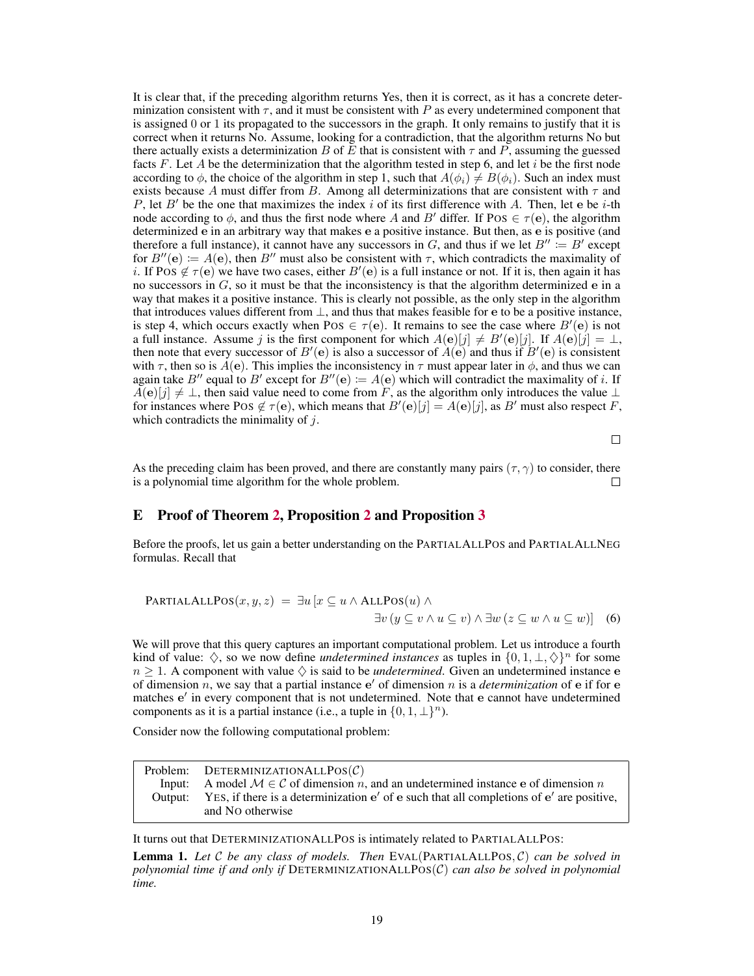It is clear that, if the preceding algorithm returns Yes, then it is correct, as it has a concrete determinization consistent with  $\tau$ , and it must be consistent with P as every undetermined component that is assigned 0 or 1 its propagated to the successors in the graph. It only remains to justify that it is correct when it returns No. Assume, looking for a contradiction, that the algorithm returns No but there actually exists a determinization B of E that is consistent with  $\tau$  and P, assuming the guessed facts F. Let A be the determinization that the algorithm tested in step 6, and let i be the first node according to  $\phi$ , the choice of the algorithm in step 1, such that  $A(\phi_i) \neq B(\phi_i)$ . Such an index must exists because A must differ from B. Among all determinizations that are consistent with  $\tau$  and P, let B' be the one that maximizes the index i of its first difference with A. Then, let e be i-th node according to  $\phi$ , and thus the first node where A and B' differ. If POS  $\in \tau(e)$ , the algorithm determinized e in an arbitrary way that makes e a positive instance. But then, as e is positive (and therefore a full instance), it cannot have any successors in G, and thus if we let  $B'' := B'$  except for  $B''(e) := A(e)$ , then B'' must also be consistent with  $\tau$ , which contradicts the maximality of i. If POS  $\notin \tau(e)$  we have two cases, either  $B'(e)$  is a full instance or not. If it is, then again it has no successors in  $G$ , so it must be that the inconsistency is that the algorithm determinized  $e$  in a way that makes it a positive instance. This is clearly not possible, as the only step in the algorithm that introduces values different from  $\perp$ , and thus that makes feasible for e to be a positive instance, is step 4, which occurs exactly when POS  $\in \tau(e)$ . It remains to see the case where  $B'(e)$  is not a full instance. Assume j is the first component for which  $A(e)[j] \neq B'(e)[j]$ . If  $A(e)[j] = \perp$ , then note that every successor of  $B'(e)$  is also a successor of  $A(e)$  and thus if  $B'(e)$  is consistent with  $\tau$ , then so is  $\vec{A}(\mathbf{e})$ . This implies the inconsistency in  $\tau$  must appear later in  $\phi$ , and thus we can again take B<sup>tt</sup> equal to B<sup>t</sup> except for  $B''(e) := A(e)$  which will contradict the maximality of i. If  $A(e)[j] \neq \bot$ , then said value need to come from F, as the algorithm only introduces the value  $\bot$ for instances where POS  $\notin \tau(\mathbf{e})$ , which means that  $B'(\mathbf{e})[j] = A(\mathbf{e})[j]$ , as  $B'$  must also respect F, which contradicts the minimality of  $j$ .

 $\Box$ 

As the preceding claim has been proved, and there are constantly many pairs ( $\tau$ ,  $\gamma$ ) to consider, there is a polynomial time algorithm for the whole problem. П

#### <span id="page-6-0"></span>E Proof of Theorem [2,](#page--1-1) Proposition [2](#page--1-2) and Proposition [3](#page--1-6)

Before the proofs, let us gain a better understanding on the PARTIALALLPOS and PARTIALALLNEG formulas. Recall that

**PARTIALALLPOS**
$$
(x, y, z) = \exists u [x \subseteq u \land \text{ALLPos}(u) \land \exists v (y \subseteq v \land u \subseteq v) \land \exists w (z \subseteq w \land u \subseteq w)]
$$
 (6)

We will prove that this query captures an important computational problem. Let us introduce a fourth kind of value:  $\Diamond$ , so we now define *undetermined instances* as tuples in  $\{0, 1, \bot, \Diamond\}^n$  for some  $n \geq 1$ . A component with value  $\diamondsuit$  is said to be *undetermined*. Given an undetermined instance e of dimension  $n$ , we say that a partial instance  $e'$  of dimension  $n$  is a *determinization* of  $e$  if for  $e$ matches e' in every component that is not undetermined. Note that e cannot have undetermined components as it is a partial instance (i.e., a tuple in  $\{0, 1, \perp\}^n$ ).

Consider now the following computational problem:

| Problem: DETERMINIZATIONALLPOS $(C)$                                                                                 |
|----------------------------------------------------------------------------------------------------------------------|
| Input: A model $\mathcal{M} \in \mathcal{C}$ of dimension n, and an undetermined instance e of dimension n           |
| Output: YES, if there is a determinization e' of e such that all completions of e' are positive,<br>and NO otherwise |
|                                                                                                                      |

It turns out that DETERMINIZATIONALLPOS is intimately related to PARTIALALLPOS:

<span id="page-6-1"></span>Lemma 1. *Let* C *be any class of models. Then* EVAL(PARTIALALLPOS, C) *can be solved in polynomial time if and only if* DETERMINIZATIONALLPOS(C) *can also be solved in polynomial time.*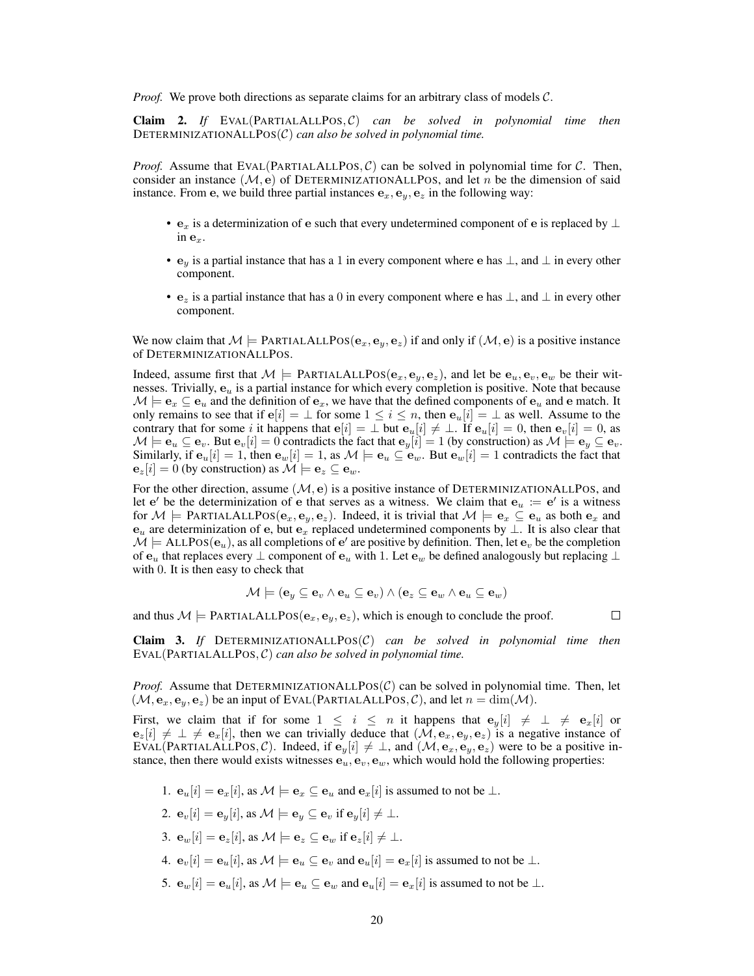*Proof.* We prove both directions as separate claims for an arbitrary class of models C.

Claim 2. *If* EVAL(PARTIALALLPOS, C) *can be solved in polynomial time then* DETERMINIZATIONALLPOS(C) *can also be solved in polynomial time.*

*Proof.* Assume that EVAL(PARTIALALLPOS,  $C$ ) can be solved in polynomial time for  $C$ . Then, consider an instance  $(M, e)$  of DETERMINIZATIONALLPOS, and let n be the dimension of said instance. From e, we build three partial instances  $e_x$ ,  $e_y$ ,  $e_z$  in the following way:

- $e_x$  is a determinization of e such that every undetermined component of e is replaced by  $\perp$ in  $\mathbf{e}_x$ .
- $\mathbf{e}_y$  is a partial instance that has a 1 in every component where e has  $\perp$ , and  $\perp$  in every other component.
- $e_z$  is a partial instance that has a 0 in every component where e has  $\perp$ , and  $\perp$  in every other component.

We now claim that  $M \models$  PARTIALALLPOS( $(e_x, e_y, e_z)$ ) if and only if  $(M, e)$  is a positive instance of DETERMINIZATIONALLPOS.

Indeed, assume first that  $M \models$  PARTIALALLPOS $(e_x, e_y, e_z)$ , and let be  $e_u, e_v, e_w$  be their witnesses. Trivially,  $e_u$  is a partial instance for which every completion is positive. Note that because  $\mathcal{M} \models \mathbf{e}_x \subseteq \mathbf{e}_u$  and the definition of  $\mathbf{e}_x$ , we have that the defined components of  $\mathbf{e}_u$  and e match. It only remains to see that if  $e[i] = \bot$  for some  $1 \le i \le n$ , then  $e_u[i] = \bot$  as well. Assume to the contrary that for some i it happens that  $e[i] = \bot$  but  $e_u[i] \neq \bot$ . If  $e_u[i] = 0$ , then  $e_v[i] = 0$ , as  $\mathcal{M} \models \mathbf{e}_u \subseteq \mathbf{e}_v.$  But  $\mathbf{e}_v[i] = 0$  contradicts the fact that  $\mathbf{e}_y[i] = 1$  (by construction) as  $\mathcal{M} \models \mathbf{e}_y \subseteq \mathbf{e}_v.$ Similarly, if  $e_u[i] = 1$ , then  $e_w[i] = 1$ , as  $\mathcal{M} \models e_u \subseteq e_w$ . But  $e_w[i] = 1$  contradicts the fact that  ${\bf e}_z[i] = 0$  (by construction) as  ${\cal M} \models {\bf e}_z \subseteq {\bf e}_w$ .

For the other direction, assume  $(M, e)$  is a positive instance of DETERMINIZATIONALLPOS, and let  $e'$  be the determinization of e that serves as a witness. We claim that  $e_u := e'$  is a witness for  $\mathcal{M} \models$  PARTIALALLPOS $(e_x, e_y, e_z)$ . Indeed, it is trivial that  $\mathcal{M} \models e_x \subseteq e_y$  as both  $e_x$  and  $e_u$  are determinization of e, but  $e_x$  replaced undetermined components by  $\perp$ . It is also clear that  $\mathcal{M} \models$  ALLPOS $(\mathbf{e}_u)$ , as all completions of  $\mathbf{e}'$  are positive by definition. Then, let  $\mathbf{e}_v$  be the completion of  $e_u$  that replaces every  $\perp$  component of  $e_u$  with 1. Let  $e_w$  be defined analogously but replacing  $\perp$ with 0. It is then easy to check that

$$
\mathcal{M} \models (\mathbf{e}_y \subseteq \mathbf{e}_v \land \mathbf{e}_u \subseteq \mathbf{e}_v) \land (\mathbf{e}_z \subseteq \mathbf{e}_w \land \mathbf{e}_u \subseteq \mathbf{e}_w)
$$

and thus  $M \models$  PARTIALALLPOS( $e_x, e_y, e_z$ ), which is enough to conclude the proof.

 $\Box$ 

Claim 3. *If* DETERMINIZATIONALLPOS(C) *can be solved in polynomial time then* EVAL(PARTIALALLPOS, C) *can also be solved in polynomial time.*

*Proof.* Assume that DETERMINIZATIONALLPOS $(C)$  can be solved in polynomial time. Then, let  $(\mathcal{M}, \mathbf{e}_x, \mathbf{e}_y, \mathbf{e}_z)$  be an input of EVAL(PARTIALALLPOS, C), and let  $n = \dim(\mathcal{M})$ .

First, we claim that if for some  $1 \leq i \leq n$  it happens that  $e_y[i] \neq \perp \neq e_x[i]$  or  $e_z[i] \neq \bot \neq e_x[i]$ , then we can trivially deduce that  $(M, e_x, e_y, e_z)$  is a negative instance of EVAL(PARTIALALLPOS, C). Indeed, if  $e_y[i] \neq \bot$ , and  $(\mathcal{M}, e_x, e_y, e_z)$  were to be a positive instance, then there would exists witnesses  $e_u, e_v, e_w$ , which would hold the following properties:

- 1.  $\mathbf{e}_u[i] = \mathbf{e}_x[i]$ , as  $\mathcal{M} \models \mathbf{e}_x \subseteq \mathbf{e}_u$  and  $\mathbf{e}_x[i]$  is assumed to not be  $\bot$ .
- 2.  $\mathbf{e}_v[i] = \mathbf{e}_y[i]$ , as  $\mathcal{M} \models \mathbf{e}_y \subseteq \mathbf{e}_v$  if  $\mathbf{e}_y[i] \neq \perp$ .
- 3.  $\mathbf{e}_w[i] = \mathbf{e}_z[i]$ , as  $\mathcal{M} \models \mathbf{e}_z \subseteq \mathbf{e}_w$  if  $\mathbf{e}_z[i] \neq \perp$ .
- 4.  $\mathbf{e}_v[i] = \mathbf{e}_u[i]$ , as  $\mathcal{M} \models \mathbf{e}_u \subseteq \mathbf{e}_v$  and  $\mathbf{e}_u[i] = \mathbf{e}_x[i]$  is assumed to not be  $\perp$ .
- 5.  $\mathbf{e}_w[i] = \mathbf{e}_u[i]$ , as  $\mathcal{M} \models \mathbf{e}_u \subseteq \mathbf{e}_w$  and  $\mathbf{e}_u[i] = \mathbf{e}_x[i]$  is assumed to not be  $\perp$ .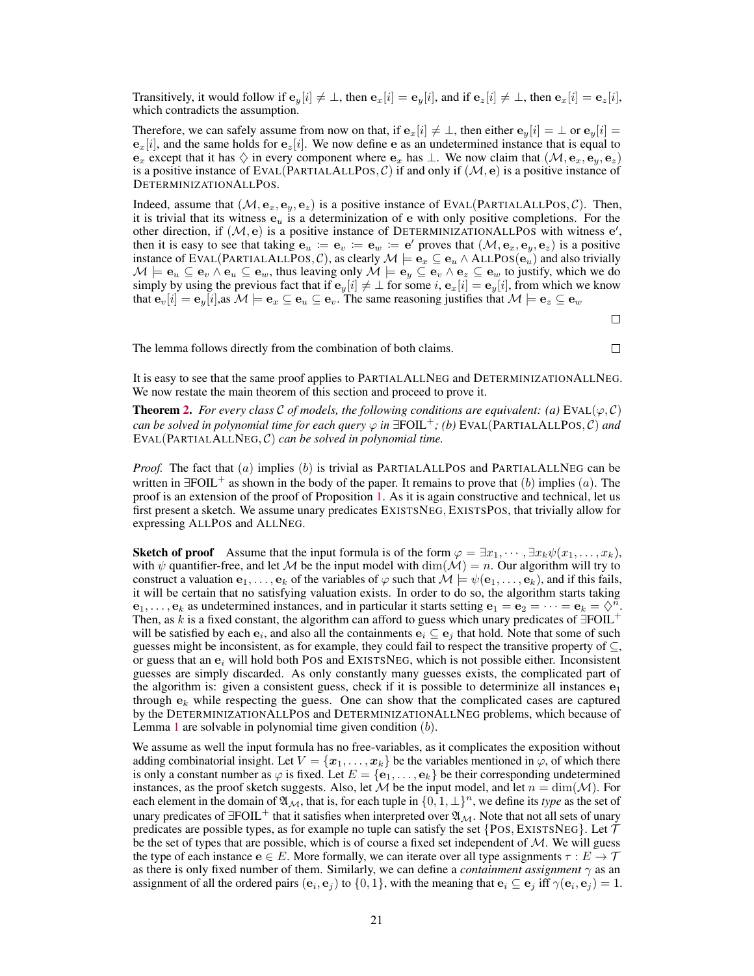Transitively, it would follow if  $e_y[i] \neq \bot$ , then  $e_x[i] = e_y[i]$ , and if  $e_z[i] \neq \bot$ , then  $e_x[i] = e_z[i]$ , which contradicts the assumption.

Therefore, we can safely assume from now on that, if  $e_x[i] \neq \bot$ , then either  $e_y[i] = \bot$  or  $e_y[i] = \bot$  $e_x[i]$ , and the same holds for  $e_z[i]$ . We now define e as an undetermined instance that is equal to  $e_x$  except that it has  $\Diamond$  in every component where  $e_x$  has  $\bot$ . We now claim that  $(\mathcal{M}, e_x, e_y, e_z)$ is a positive instance of EVAL(PARTIALALLPOS,  $\mathcal{C}$ ) if and only if  $(\mathcal{M}, e)$  is a positive instance of DETERMINIZATIONALLPOS.

Indeed, assume that  $(M, e_x, e_y, e_z)$  is a positive instance of EVAL(PARTIALALLPOS, C). Then, it is trivial that its witness  $e_u$  is a determinization of e with only positive completions. For the other direction, if  $(M, e)$  is a positive instance of DETERMINIZATIONALLPOS with witness  $e'$ , then it is easy to see that taking  $e_u := e_v := e_w := e'$  proves that  $(M, e_x, e_y, e_z)$  is a positive instance of EVAL(PARTIALALLPOS, C), as clearly  $\mathcal{M} \models \mathbf{e}_x \subseteq \mathbf{e}_u \wedge \text{ALLPos}(\mathbf{e}_u)$  and also trivially M  $\models$   $\mathbf{e}_u \subseteq \mathbf{e}_v \land \mathbf{e}_u \subseteq \mathbf{e}_w$ , thus leaving only  $\mathcal{M} \models \mathbf{e}_y \subseteq \mathbf{e}_v \land \mathbf{e}_z \subseteq \mathbf{e}_w$  to justify, which we do simply by using the previous fact that if  $e_y[i] \neq \bot$  for some  $i, e_x[i] = e_y[i]$ , from which we know that  $e_v[i] = e_y[i]$ , as  $\mathcal{M} \models e_x \subseteq e_u \subseteq e_v$ . The same reasoning justifies that  $\mathcal{M} \models e_z \subseteq e_w$ 

 $\Box$ 

The lemma follows directly from the combination of both claims.

 $\Box$ 

It is easy to see that the same proof applies to PARTIALALLNEG and DETERMINIZATIONALLNEG. We now restate the main theorem of this section and proceed to prove it.

**Theorem [2.](#page--1-1)** *For every class* C *of models, the following conditions are equivalent:* (a) EVAL( $\varphi$ , C) *can be solved in polynomial time for each query*  $\varphi$  *in*  $\exists$ FOIL<sup>+</sup>; (b) EVAL(PARTIALALLPOS, C) *and* EVAL(PARTIALALLNEG, C) *can be solved in polynomial time.*

*Proof.* The fact that (a) implies (b) is trivial as PARTIALALLPOS and PARTIALALLNEG can be written in  $\exists \text{FOIL}^+$  as shown in the body of the paper. It remains to prove that (b) implies (a). The proof is an extension of the proof of Proposition [1.](#page--1-5) As it is again constructive and technical, let us first present a sketch. We assume unary predicates EXISTSNEG, EXISTSPOS, that trivially allow for expressing ALLPOS and ALLNEG.

**Sketch of proof** Assume that the input formula is of the form  $\varphi = \exists x_1, \dots, \exists x_k \psi(x_1, \dots, x_k)$ , with  $\psi$  quantifier-free, and let M be the input model with  $\dim(\mathcal{M}) = n$ . Our algorithm will try to construct a valuation  $e_1, \ldots, e_k$  of the variables of  $\varphi$  such that  $\mathcal{M} \models \psi(e_1, \ldots, e_k)$ , and if this fails, it will be certain that no satisfying valuation exists. In order to do so, the algorithm starts taking  $e_1, \ldots, e_k$  as undetermined instances, and in particular it starts setting  $e_1 = e_2 = \cdots = e_k = \diamondsuit^n$ . Then, as k is a fixed constant, the algorithm can afford to guess which unary predicates of  $\exists$ FOIL<sup>+</sup> will be satisfied by each  $e_i$ , and also all the containments  $e_i \subseteq e_j$  that hold. Note that some of such guesses might be inconsistent, as for example, they could fail to respect the transitive property of  $\subseteq$ , or guess that an  $e_i$  will hold both POS and EXISTSNEG, which is not possible either. Inconsistent guesses are simply discarded. As only constantly many guesses exists, the complicated part of the algorithm is: given a consistent guess, check if it is possible to determinize all instances  $e_1$ through  $e_k$  while respecting the guess. One can show that the complicated cases are captured by the DETERMINIZATIONALLPOS and DETERMINIZATIONALLNEG problems, which because of Lemma [1](#page-6-1) are solvable in polynomial time given condition  $(b)$ .

We assume as well the input formula has no free-variables, as it complicates the exposition without adding combinatorial insight. Let  $V = \{x_1, \ldots, x_k\}$  be the variables mentioned in  $\varphi$ , of which there is only a constant number as  $\varphi$  is fixed. Let  $E = \{ {\bf e}_1, \dots, {\bf e}_k \}$  be their corresponding undetermined instances, as the proof sketch suggests. Also, let M be the input model, and let  $n = \dim(\mathcal{M})$ . For each element in the domain of  $\mathfrak{A}_{\mathcal{M}}$ , that is, for each tuple in  $\{0, 1, \perp\}^n$ , we define its *type* as the set of unary predicates of  $\text{FOL}^+$  that it satisfies when interpreted over  $\mathfrak{A}_M$ . Note that not all sets of unary predicates are possible types, as for example no tuple can satisfy the set  $\{Pos, EXISTSNEG\}$ . Let  $\mathcal T$ be the set of types that are possible, which is of course a fixed set independent of  $M$ . We will guess the type of each instance  $e \in E$ . More formally, we can iterate over all type assignments  $\tau : E \to \mathcal{T}$ as there is only fixed number of them. Similarly, we can define a *containment assignment*  $\gamma$  as an assignment of all the ordered pairs  $(e_i, e_j)$  to  $\{0, 1\}$ , with the meaning that  $e_i \subseteq e_j$  iff  $\gamma(e_i, e_j) = 1$ .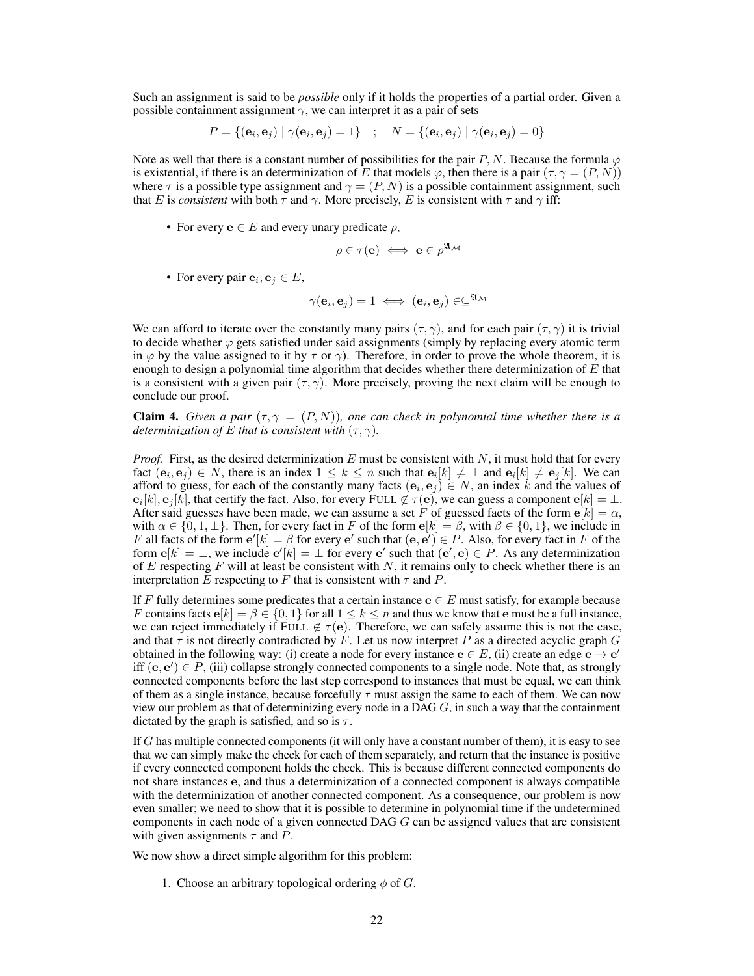Such an assignment is said to be *possible* only if it holds the properties of a partial order. Given a possible containment assignment  $\gamma$ , we can interpret it as a pair of sets

$$
P = \{(\mathbf{e}_i, \mathbf{e}_j) | \gamma(\mathbf{e}_i, \mathbf{e}_j) = 1\} \quad ; \quad N = \{(\mathbf{e}_i, \mathbf{e}_j) | \gamma(\mathbf{e}_i, \mathbf{e}_j) = 0\}
$$

Note as well that there is a constant number of possibilities for the pair P, N. Because the formula  $\varphi$ is existential, if there is an determinization of E that models  $\varphi$ , then there is a pair  $(\tau, \gamma = (P, N))$ where  $\tau$  is a possible type assignment and  $\gamma = (P, N)$  is a possible containment assignment, such that E is *consistent* with both  $\tau$  and  $\gamma$ . More precisely, E is consistent with  $\tau$  and  $\gamma$  iff:

• For every  $e \in E$  and every unary predicate  $\rho$ ,

$$
\rho \in \tau(\mathbf{e}) \iff \mathbf{e} \in \rho^{\mathfrak{A}_{\mathcal{M}}}
$$

• For every pair  $e_i, e_j \in E$ ,

$$
\gamma(\mathbf{e}_i, \mathbf{e}_j) = 1 \iff (\mathbf{e}_i, \mathbf{e}_j) \in \subseteq^{\mathfrak{A}_{\mathcal{M}}}
$$

We can afford to iterate over the constantly many pairs  $(\tau, \gamma)$ , and for each pair  $(\tau, \gamma)$  it is trivial to decide whether  $\varphi$  gets satisfied under said assignments (simply by replacing every atomic term in  $\varphi$  by the value assigned to it by  $\tau$  or  $\gamma$ ). Therefore, in order to prove the whole theorem, it is enough to design a polynomial time algorithm that decides whether there determinization of  $E$  that is a consistent with a given pair  $(\tau, \gamma)$ . More precisely, proving the next claim will be enough to conclude our proof.

**Claim 4.** *Given a pair*  $(\tau, \gamma = (P, N))$ *, one can check in polynomial time whether there is a determinization of* E *that is consistent with*  $(\tau, \gamma)$ *.* 

*Proof.* First, as the desired determinization  $E$  must be consistent with  $N$ , it must hold that for every fact  $(e_i, e_j) \in N$ , there is an index  $1 \leq k \leq n$  such that  $e_i[k] \neq \bot$  and  $e_i[k] \neq e_j[k]$ . We can afford to guess, for each of the constantly many facts  $(e_i, e_j) \in N$ , an index k and the values of  ${\bf e}_i[k],{\bf e}_j[k],$  that certify the fact. Also, for every FULL  $\not\in\tau({\bf e}),$  we can guess a component  ${\bf e}[k]=\bot.$ After said guesses have been made, we can assume a set F of guessed facts of the form  $e[k] = \alpha$ , with  $\alpha \in \{0, 1, \perp\}$ . Then, for every fact in F of the form  $e[k] = \beta$ , with  $\beta \in \{0, 1\}$ , we include in F all facts of the form  $e'[k] = \beta$  for every  $e'$  such that  $(e, e') \in P$ . Also, for every fact in F of the form  $e[k] = \bot$ , we include  $e'[k] = \bot$  for every  $e'$  such that  $(e', e) \in P$ . As any determinization of E respecting F will at least be consistent with N, it remains only to check whether there is an interpretation E respecting to F that is consistent with  $\tau$  and P.

If F fully determines some predicates that a certain instance  $e \in E$  must satisfy, for example because F contains facts  $e[k] = \beta \in \{0, 1\}$  for all  $1 \le k \le n$  and thus we know that e must be a full instance, we can reject immediately if FULL  $\notin \tau(e)$ . Therefore, we can safely assume this is not the case, and that  $\tau$  is not directly contradicted by F. Let us now interpret P as a directed acyclic graph G obtained in the following way: (i) create a node for every instance  $e \in E$ , (ii) create an edge  $e \rightarrow e'$ iff  $(e, e') \in P$ , (iii) collapse strongly connected components to a single node. Note that, as strongly connected components before the last step correspond to instances that must be equal, we can think of them as a single instance, because forcefully  $\tau$  must assign the same to each of them. We can now view our problem as that of determinizing every node in a DAG  $G$ , in such a way that the containment dictated by the graph is satisfied, and so is  $\tau$ .

If G has multiple connected components (it will only have a constant number of them), it is easy to see that we can simply make the check for each of them separately, and return that the instance is positive if every connected component holds the check. This is because different connected components do not share instances e, and thus a determinization of a connected component is always compatible with the determinization of another connected component. As a consequence, our problem is now even smaller; we need to show that it is possible to determine in polynomial time if the undetermined components in each node of a given connected DAG G can be assigned values that are consistent with given assignments  $\tau$  and P.

We now show a direct simple algorithm for this problem:

1. Choose an arbitrary topological ordering  $\phi$  of G.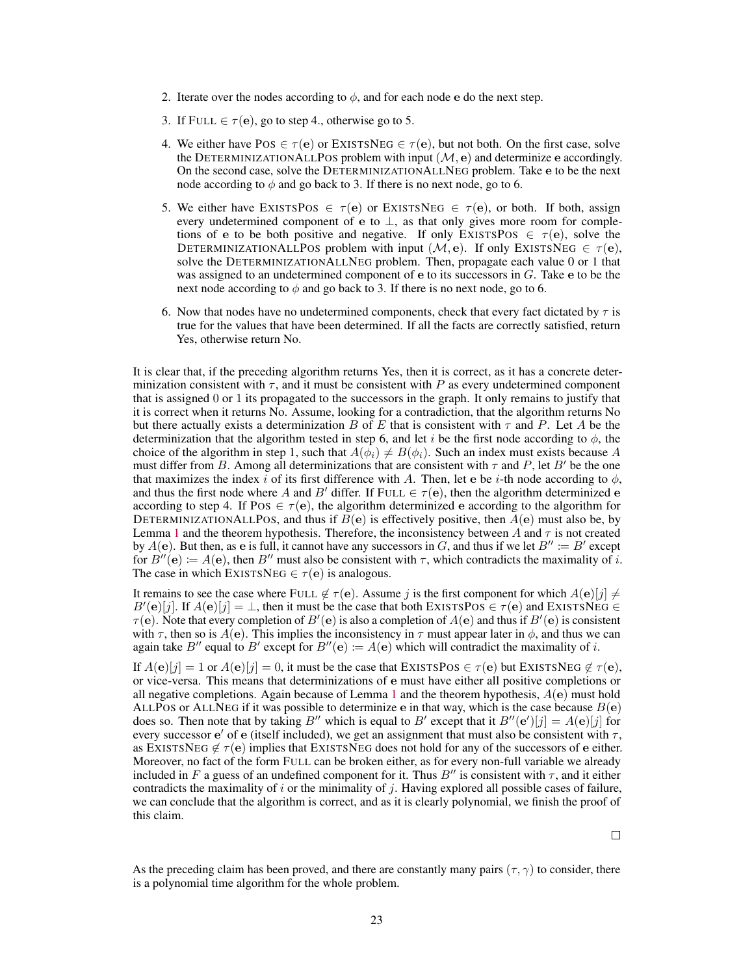- 2. Iterate over the nodes according to  $\phi$ , and for each node e do the next step.
- 3. If FULL  $\in \tau(\mathbf{e})$ , go to step 4., otherwise go to 5.
- 4. We either have POS  $\in \tau(e)$  or EXISTSNEG  $\in \tau(e)$ , but not both. On the first case, solve the DETERMINIZATIONALLPOS problem with input  $(M, e)$  and determinize e accordingly. On the second case, solve the DETERMINIZATIONALLNEG problem. Take e to be the next node according to  $\phi$  and go back to 3. If there is no next node, go to 6.
- 5. We either have EXISTSPOS  $\in \tau(e)$  or EXISTSNEG  $\in \tau(e)$ , or both. If both, assign every undetermined component of e to  $\perp$ , as that only gives more room for completions of e to be both positive and negative. If only EXISTSPOS  $\in \tau(e)$ , solve the DETERMINIZATIONALLPOS problem with input  $(M, e)$ . If only EXISTSNEG  $\in \tau(e)$ , solve the DETERMINIZATIONALLNEG problem. Then, propagate each value 0 or 1 that was assigned to an undetermined component of  $e$  to its successors in  $G$ . Take  $e$  to be the next node according to  $\phi$  and go back to 3. If there is no next node, go to 6.
- 6. Now that nodes have no undetermined components, check that every fact dictated by  $\tau$  is true for the values that have been determined. If all the facts are correctly satisfied, return Yes, otherwise return No.

It is clear that, if the preceding algorithm returns Yes, then it is correct, as it has a concrete determinization consistent with  $\tau$ , and it must be consistent with P as every undetermined component that is assigned 0 or 1 its propagated to the successors in the graph. It only remains to justify that it is correct when it returns No. Assume, looking for a contradiction, that the algorithm returns No but there actually exists a determinization B of E that is consistent with  $\tau$  and P. Let A be the determinization that the algorithm tested in step 6, and let i be the first node according to  $\phi$ , the choice of the algorithm in step 1, such that  $A(\phi_i) \neq B(\phi_i)$ . Such an index must exists because A must differ from B. Among all determinizations that are consistent with  $\tau$  and P, let B' be the one that maximizes the index i of its first difference with A. Then, let e be i-th node according to  $\phi$ , and thus the first node where A and B' differ. If FULL  $\in \tau(e)$ , then the algorithm determinized e according to step 4. If Pos  $\in \tau(e)$ , the algorithm determinized e according to the algorithm for DETERMINIZATIONALLPOS, and thus if  $B(e)$  is effectively positive, then  $A(e)$  must also be, by Lemma [1](#page-6-1) and the theorem hypothesis. Therefore, the inconsistency between A and  $\tau$  is not created by  $A(e)$ . But then, as e is full, it cannot have any successors in G, and thus if we let  $B'' \coloneqq B'$  except for  $B''(e) := A(e)$ , then  $B''$  must also be consistent with  $\tau$ , which contradicts the maximality of i. The case in which EXISTSNEG  $\in \tau(e)$  is analogous.

It remains to see the case where FULL  $\notin \tau(\mathbf{e})$ . Assume j is the first component for which  $A(\mathbf{e})[j] \neq 0$  $B'(\mathbf{e})[j]$ . If  $A(\mathbf{e})[j] = \perp$ , then it must be the case that both EXISTSPOS  $\in \tau(\mathbf{e})$  and EXISTSNEG  $\in$  $\tau$ (e). Note that every completion of  $B'(\mathbf{e})$  is also a completion of  $A(\mathbf{e})$  and thus if  $B'(\mathbf{e})$  is consistent with  $\tau$ , then so is  $A(e)$ . This implies the inconsistency in  $\tau$  must appear later in  $\phi$ , and thus we can again take B<sup>"</sup> equal to B' except for  $B''(e) := A(e)$  which will contradict the maximality of i.

If  $A(e)[j] = 1$  or  $A(e)[j] = 0$ , it must be the case that EXISTSPOS  $\in \tau(e)$  but EXISTSNEG  $\notin \tau(e)$ , or vice-versa. This means that determinizations of e must have either all positive completions or all negative completions. Again because of Lemma [1](#page-6-1) and the theorem hypothesis,  $A(e)$  must hold ALLPOS or ALLNEG if it was possible to determinize e in that way, which is the case because  $B(e)$ does so. Then note that by taking B'' which is equal to B' except that it  $B''(e')[j] = A(e)[j]$  for every successor  $e'$  of e (itself included), we get an assignment that must also be consistent with  $\tau$ , as EXISTSNEG  $\notin \tau(e)$  implies that EXISTSNEG does not hold for any of the successors of e either. Moreover, no fact of the form FULL can be broken either, as for every non-full variable we already included in F a guess of an undefined component for it. Thus  $B''$  is consistent with  $\tau$ , and it either contradicts the maximality of  $i$  or the minimality of  $j$ . Having explored all possible cases of failure, we can conclude that the algorithm is correct, and as it is clearly polynomial, we finish the proof of this claim.

As the preceding claim has been proved, and there are constantly many pairs  $(\tau, \gamma)$  to consider, there is a polynomial time algorithm for the whole problem.

 $\Box$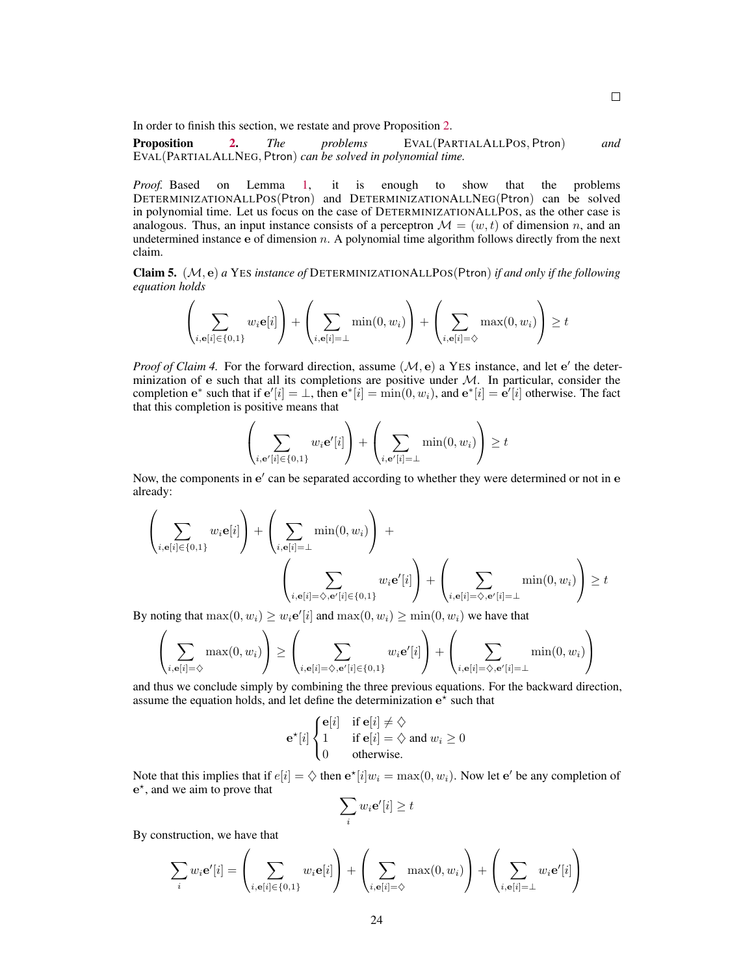In order to finish this section, we restate and prove Proposition [2.](#page--1-2)

Proposition [2.](#page--1-2) *The problems* EVAL(PARTIALALLPOS, Ptron) *and* EVAL(PARTIALALLNEG, Ptron) *can be solved in polynomial time.*

*Proof.* Based on Lemma [1,](#page-6-1) it is enough to show that the problems DETERMINIZATIONALLPOS(Ptron) and DETERMINIZATIONALLNEG(Ptron) can be solved in polynomial time. Let us focus on the case of DETERMINIZATIONALLPOS, as the other case is analogous. Thus, an input instance consists of a perceptron  $\mathcal{M} = (w, t)$  of dimension n, and an undetermined instance  $\mathbf e$  of dimension n. A polynomial time algorithm follows directly from the next claim.

Claim 5. (M, e) *a* YES *instance of* DETERMINIZATIONALLPOS(Ptron) *if and only if the following equation holds*

$$
\left(\sum_{i, \mathbf{e}[i] \in \{0,1\}} w_i \mathbf{e}[i]\right) + \left(\sum_{i, \mathbf{e}[i] = \perp} \min(0, w_i)\right) + \left(\sum_{i, \mathbf{e}[i] = \diamondsuit} \max(0, w_i)\right) \ge t
$$

*Proof of Claim 4.* For the forward direction, assume  $(M, e)$  a YES instance, and let  $e'$  the determinization of e such that all its completions are positive under  $M$ . In particular, consider the completion  $e^*$  such that if  $e'[i] = \bot$ , then  $e^*[i] = \min(0, w_i)$ , and  $e^*[i] = e'[i]$  otherwise. The fact that this completion is positive means that

 $\mathcal{L}$ 

$$
\left(\sum_{i,\mathbf{e}'[i]\in\{0,1\}}w_i\mathbf{e}'[i]\right) + \left(\sum_{i,\mathbf{e}'[i]=\perp} \min(0,w_i)\right) \geq t
$$

Now, the components in e' can be separated according to whether they were determined or not in e already:

$$
\left(\sum_{i,\mathbf{e}[i] \in \{0,1\}} w_i \mathbf{e}[i]\right) + \left(\sum_{i,\mathbf{e}[i] = \perp} \min(0, w_i)\right) + \left(\sum_{i,\mathbf{e}[i] = \diamondsuit, \mathbf{e}'[i] \in \{0,1\}} w_i \mathbf{e}'[i]\right) + \left(\sum_{i,\mathbf{e}[i] = \diamondsuit, \mathbf{e}'[i] = \perp} \min(0, w_i)\right) \ge t
$$

By noting that  $\max(0, w_i) \geq w_i e'[i]$  and  $\max(0, w_i) \geq \min(0, w_i)$  we have that

$$
\left(\sum_{i,\mathbf{e}[i]=\diamondsuit}\max(0,w_i)\right)\geq \left(\sum_{i,\mathbf{e}[i]=\diamondsuit,\mathbf{e}'[i]\in\{0,1\}}w_i\mathbf{e}'[i]\right)+\left(\sum_{i,\mathbf{e}[i]=\diamondsuit,\mathbf{e}'[i]=\perp}\min(0,w_i)\right)
$$

and thus we conclude simply by combining the three previous equations. For the backward direction, assume the equation holds, and let define the determinization  $e^{\lambda}$  such that

$$
\mathbf{e}^{\star}[i] \begin{cases} \mathbf{e}[i] & \text{if } \mathbf{e}[i] \neq \Diamond \\ 1 & \text{if } \mathbf{e}[i] = \Diamond \text{ and } w_i \ge 0 \\ 0 & \text{otherwise.} \end{cases}
$$

Note that this implies that if  $e[i] = \diamondsuit$  then  $e^*[i]w_i = \max(0, w_i)$ . Now let  $e'$  be any completion of e ? , and we aim to prove that

$$
\sum_i w_i \mathbf{e}'[i] \ge t
$$

By construction, we have that

$$
\sum_i w_i \mathbf{e}'[i] = \left(\sum_{i,\mathbf{e}[i] \in \{0,1\}} w_i \mathbf{e}[i]\right) + \left(\sum_{i,\mathbf{e}[i] = \diamondsuit} \max(0, w_i)\right) + \left(\sum_{i,\mathbf{e}[i] = \perp} w_i \mathbf{e}'[i]\right)
$$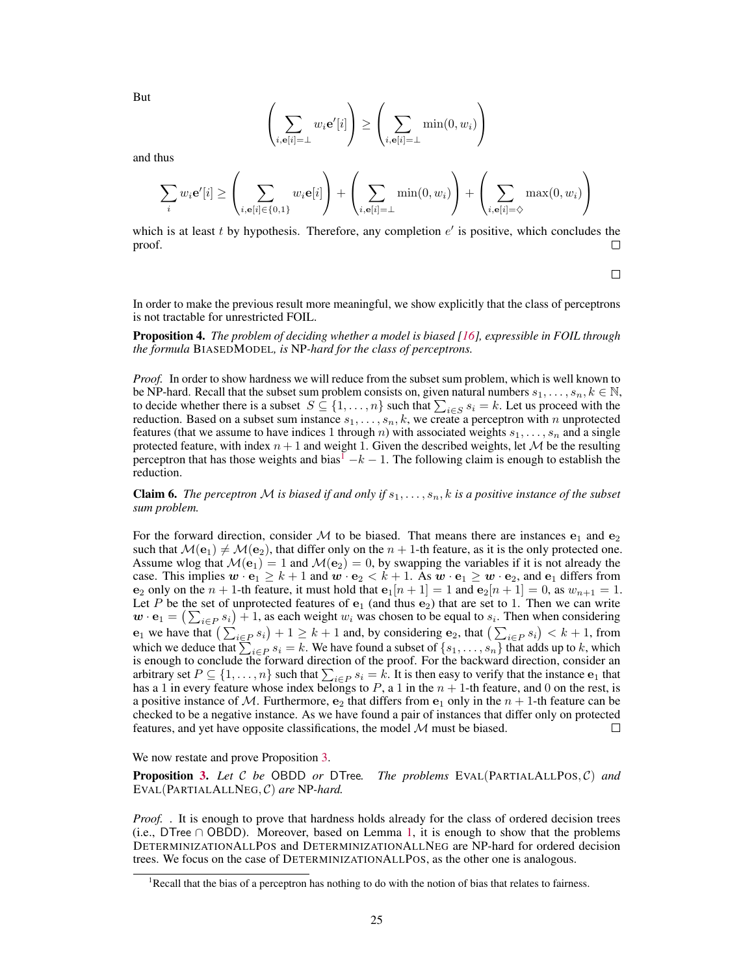But

$$
\left(\sum_{i,\mathbf{e}[i]=\perp} w_i \mathbf{e}'[i]\right) \ge \left(\sum_{i,\mathbf{e}[i]=\perp} \min(0, w_i)\right).
$$

and thus

$$
\sum_{i} w_i \mathbf{e}'[i] \ge \left(\sum_{i, \mathbf{e}[i] \in \{0, 1\}} w_i \mathbf{e}[i]\right) + \left(\sum_{i, \mathbf{e}[i] = \perp} \min(0, w_i)\right) + \left(\sum_{i, \mathbf{e}[i] = \diamondsuit} \max(0, w_i)\right)
$$

which is at least  $t$  by hypothesis. Therefore, any completion  $e'$  is positive, which concludes the proof. П

 $\Box$ 

In order to make the previous result more meaningful, we show explicitly that the class of perceptrons is not tractable for unrestricted FOIL.

Proposition 4. *The problem of deciding whether a model is biased [\[16\]](#page--1-6), expressible in FOIL through the formula* BIASEDMODEL*, is* NP*-hard for the class of perceptrons.*

*Proof.* In order to show hardness we will reduce from the subset sum problem, which is well known to be NP-hard. Recall that the subset sum problem consists on, given natural numbers  $s_1, \ldots, s_n, k \in \mathbb{N}$ , to decide whether there is a subset  $S \subseteq \{1, \ldots, n\}$  such that  $\sum_{i \in S} s_i = k$ . Let us proceed with the reduction. Based on a subset sum instance  $s_1, \ldots, s_n, k$ , we create a perceptron with n unprotected features (that we assume to have indices 1 through n) with associated weights  $s_1, \ldots, s_n$  and a single protected feature, with index  $n + 1$  and weight 1. Given the described weights, let  $M$  be the resulting perceptron that has those weights and bias<sup>[1](#page-12-0)</sup>  $-k-1$ . The following claim is enough to establish the reduction.

**Claim 6.** *The perceptron* M *is biased if and only if*  $s_1, \ldots, s_n$ , *k is a positive instance of the subset sum problem.*

For the forward direction, consider M to be biased. That means there are instances  $e_1$  and  $e_2$ such that  $\mathcal{M}(e_1) \neq \mathcal{M}(e_2)$ , that differ only on the  $n + 1$ -th feature, as it is the only protected one. Assume wlog that  $\mathcal{M}(\mathbf{e}_1) = 1$  and  $\mathcal{M}(\mathbf{e}_2) = 0$ , by swapping the variables if it is not already the case. This implies  $w \cdot \mathbf{e}_1 \geq k+1$  and  $w \cdot \mathbf{e}_2 < k+1$ . As  $w \cdot \mathbf{e}_1 \geq w \cdot \mathbf{e}_2$ , and  $\mathbf{e}_1$  differs from  $e_2$  only on the  $n + 1$ -th feature, it must hold that  $e_1[n + 1] = 1$  and  $e_2[n + 1] = 0$ , as  $w_{n+1} = 1$ . Let P be the set of unprotected features of  $e_1$  (and thus  $e_2$ ) that are set to 1. Then we can write  $\mathbf{w} \cdot \mathbf{e}_1 = (\sum_{i \in P} s_i) + 1$ , as each weight  $w_i$  was chosen to be equal to  $s_i$ . Then when considering  $e_1$  we have that  $\left(\sum_{i \in P} s_i\right) + 1 \ge k + 1$  and, by considering  $e_2$ , that  $\left(\sum_{i \in P} s_i\right) < k + 1$ , from which we deduce that  $\sum_{i\in P} s_i = k$ . We have found a subset of  $\{s_1, \ldots, s_n\}$  that adds up to k, which is enough to conclude the forward direction of the proof. For the backward direction, consider an arbitrary set  $P \subseteq \{1, \ldots, n\}$  such that  $\sum_{i \in P} s_i = k$ . It is then easy to verify that the instance  $e_1$  that has a 1 in every feature whose index belongs to  $P$ , a 1 in the  $n + 1$ -th feature, and 0 on the rest, is a positive instance of M. Furthermore,  $e_2$  that differs from  $e_1$  only in the  $n + 1$ -th feature can be checked to be a negative instance. As we have found a pair of instances that differ only on protected features, and yet have opposite classifications, the model  $M$  must be biased.  $\Box$ 

We now restate and prove Proposition [3.](#page--1-6)

Proposition [3.](#page--1-6) *Let* C *be* OBDD *or* DTree*. The problems* EVAL(PARTIALALLPOS, C) *and* EVAL(PARTIALALLNEG, C) *are* NP*-hard.*

*Proof.* . It is enough to prove that hardness holds already for the class of ordered decision trees (i.e., DTree ∩ OBDD). Moreover, based on Lemma [1,](#page-6-1) it is enough to show that the problems DETERMINIZATIONALLPOS and DETERMINIZATIONALLNEG are NP-hard for ordered decision trees. We focus on the case of DETERMINIZATIONALLPOS, as the other one is analogous.

<span id="page-12-0"></span><sup>&</sup>lt;sup>1</sup>Recall that the bias of a perceptron has nothing to do with the notion of bias that relates to fairness.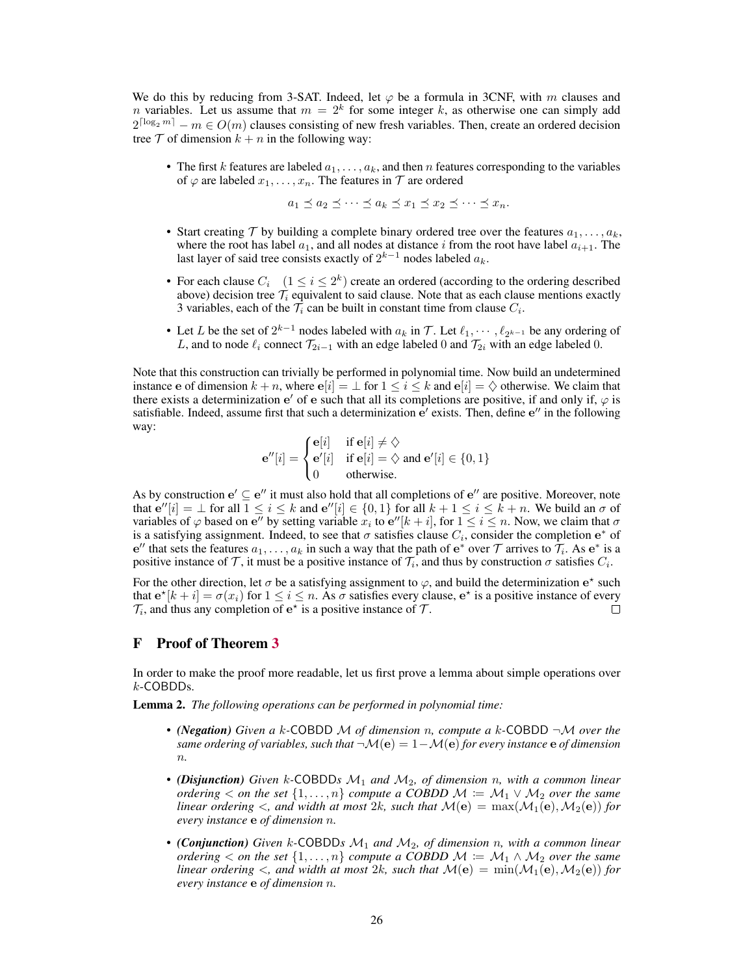We do this by reducing from 3-SAT. Indeed, let  $\varphi$  be a formula in 3CNF, with m clauses and *n* variables. Let us assume that  $m = 2<sup>k</sup>$  for some integer k, as otherwise one can simply add  $2^{\lceil \log_2 m \rceil} - m \in O(m)$  clauses consisting of new fresh variables. Then, create an ordered decision tree  $T$  of dimension  $k + n$  in the following way:

• The first k features are labeled  $a_1, \ldots, a_k$ , and then n features corresponding to the variables of  $\varphi$  are labeled  $x_1, \ldots, x_n$ . The features in  $\mathcal T$  are ordered

 $a_1 \preceq a_2 \preceq \cdots \preceq a_k \preceq x_1 \preceq x_2 \preceq \cdots \preceq x_n.$ 

- Start creating  $\mathcal T$  by building a complete binary ordered tree over the features  $a_1, \ldots, a_k$ , where the root has label  $a_1$ , and all nodes at distance i from the root have label  $a_{i+1}$ . The last layer of said tree consists exactly of  $2^{k-1}$  nodes labeled  $a_k$ .
- For each clause  $C_i \quad (1 \le i \le 2^k)$  create an ordered (according to the ordering described above) decision tree  $\mathcal{T}_i$  equivalent to said clause. Note that as each clause mentions exactly 3 variables, each of the  $\mathcal{T}_i$  can be built in constant time from clause  $C_i$ .
- Let L be the set of  $2^{k-1}$  nodes labeled with  $a_k$  in T. Let  $\ell_1, \dots, \ell_{2^{k-1}}$  be any ordering of L, and to node  $\ell_i$  connect  $\mathcal{T}_{2i-1}$  with an edge labeled 0 and  $\mathcal{T}_{2i}$  with an edge labeled 0.

Note that this construction can trivially be performed in polynomial time. Now build an undetermined instance e of dimension  $k + n$ , where  $e[i] = \perp$  for  $1 \le i \le k$  and  $e[i] = \diamondsuit$  otherwise. We claim that there exists a determinization  $e'$  of e such that all its completions are positive, if and only if,  $\varphi$  is satisfiable. Indeed, assume first that such a determinization  $e'$  exists. Then, define  $e''$  in the following way:

$$
\mathbf{e}''[i] = \begin{cases} \mathbf{e}[i] & \text{if } \mathbf{e}[i] \neq \Diamond \\ \mathbf{e}'[i] & \text{if } \mathbf{e}[i] = \Diamond \text{ and } \mathbf{e}'[i] \in \{0, 1\} \\ 0 & \text{otherwise.} \end{cases}
$$

As by construction  $e' \subseteq e''$  it must also hold that all completions of  $e''$  are positive. Moreover, note that  $e''[i] = \bot$  for all  $1 \le i \le k$  and  $e''[i] \in \{0,1\}$  for all  $k+1 \le i \le k+n$ . We build an  $\sigma$  of variables of  $\varphi$  based on e'' by setting variable  $x_i$  to e''[ $k + i$ ], for  $1 \le i \le n$ . Now, we claim that  $\sigma$ is a satisfying assignment. Indeed, to see that  $\sigma$  satisfies clause  $C_i$ , consider the completion  $e^*$  of e'' that sets the features  $a_1, \ldots, a_k$  in such a way that the path of  $e^*$  over  $\mathcal T$  arrives to  $\tilde{\mathcal T}_i$ . As  $e^*$  is a positive instance of T, it must be a positive instance of  $\mathcal{T}_i$ , and thus by construction  $\sigma$  satisfies  $C_i$ .

For the other direction, let  $\sigma$  be a satisfying assignment to  $\varphi$ , and build the determinization  $e^*$  such that  $e^{\star}[k+i] = \sigma(x_i)$  for  $1 \le i \le n$ . As  $\sigma$  satisfies every clause,  $e^{\star}$  is a positive instance of every  $\mathcal{T}_i$ , and thus any completion of  $e^*$  is a positive instance of  $\mathcal{T}$ .  $\Box$ 

## <span id="page-13-0"></span>F Proof of Theorem [3](#page--1-3)

In order to make the proof more readable, let us first prove a lemma about simple operations over k-COBDDs.

Lemma 2. *The following operations can be performed in polynomial time:*

- *(Negation) Given a* k*-*COBDD M *of dimension* n*, compute a* k*-*COBDD ¬M *over the same ordering of variables, such that*  $\neg M(e) = 1 - M(e)$  *for every instance* e *of dimension* n*.*
- *(Disjunction) Given* k*-*COBDD*s* M<sup>1</sup> *and* M2*, of dimension* n*, with a common linear ordering*  $\lt$  *on the set*  $\{1, \ldots, n\}$  *compute a COBDD*  $M \coloneqq M_1 \vee M_2$  *over the same linear ordering*  $\lt$ *, and width at most* 2k*, such that*  $M(e) = \max(M_1(e), M_2(e))$  *for every instance* e *of dimension* n*.*
- *(Conjunction) Given* k*-*COBDD*s* M<sup>1</sup> *and* M2*, of dimension* n*, with a common linear ordering*  $\langle$  *on the set*  $\{1, \ldots, n\}$  *compute a COBDD*  $\mathcal{M} := \mathcal{M}_1 \wedge \mathcal{M}_2$  *over the same linear ordering*  $\lt$ *, and width at most* 2k*, such that*  $M(e) = \min(M_1(e), M_2(e))$  *for every instance* e *of dimension* n*.*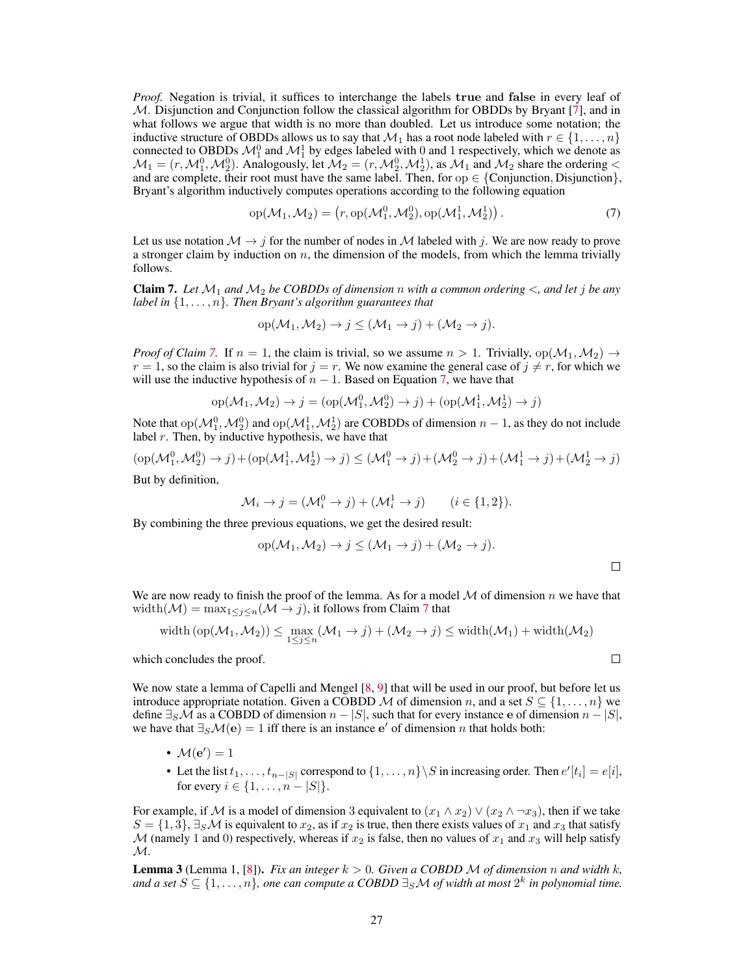*Proof.* Negation is trivial, it suffices to interchange the labels true and false in every leaf of  $M$ . Disjunction and Conjunction follow the classical algorithm for OBDDs by Bryant [\[7\]](#page--1-7), and in what follows we argue that width is no more than doubled. Let us introduce some notation; the inductive structure of OBDDs allows us to say that  $\mathcal{M}_1$  has a root node labeled with  $r \in \{1, \ldots, n\}$ connected to OBDDs  $\mathcal{M}_1^0$  and  $\mathcal{M}_1^1$  by edges labeled with 0 and 1 respectively, which we denote as  $\mathcal{M}_1 = (r, \mathcal{M}_1^0, \mathcal{M}_2^0)$ . Analogously, let  $\mathcal{M}_2 = (r, \mathcal{M}_2^0, \mathcal{M}_2^1)$ , as  $\mathcal{M}_1$  and  $\mathcal{M}_2$  share the ordering  $\lt$ and are complete, their root must have the same label. Then, for  $op \in \{Conjunction, Disjunction\}$ , Bryant's algorithm inductively computes operations according to the following equation

<span id="page-14-1"></span>
$$
op(M_1, M_2) = (r, op(M_1^0, M_2^0), op(M_1^1, M_2^1)).
$$
\n(7)

Let us use notation  $\mathcal{M} \to j$  for the number of nodes in  $\mathcal M$  labeled with j. We are now ready to prove a stronger claim by induction on  $n$ , the dimension of the models, from which the lemma trivially follows.

<span id="page-14-0"></span>**Claim 7.** Let  $\mathcal{M}_1$  and  $\mathcal{M}_2$  be COBDDs of dimension n with a common ordering  $\lt$ , and let j be any *label in* {1, . . . , n}*. Then Bryant's algorithm guarantees that*

$$
op(\mathcal{M}_1, \mathcal{M}_2) \to j \leq (\mathcal{M}_1 \to j) + (\mathcal{M}_2 \to j).
$$

*Proof of Claim* [7.](#page-14-0) If  $n = 1$ , the claim is trivial, so we assume  $n > 1$ . Trivially, op $(\mathcal{M}_1, \mathcal{M}_2) \rightarrow$  $r = 1$ , so the claim is also trivial for  $j = r$ . We now examine the general case of  $j \neq r$ , for which we will use the inductive hypothesis of  $n - 1$ . Based on Equation [7,](#page-14-1) we have that

$$
op(\mathcal{M}_1, \mathcal{M}_2) \rightarrow j = (op(\mathcal{M}_1^0, \mathcal{M}_2^0) \rightarrow j) + (op(\mathcal{M}_1^1, \mathcal{M}_2^1) \rightarrow j)
$$

Note that  $op(M_1^0, M_2^0)$  and  $op(M_1^1, M_2^1)$  are COBDDs of dimension  $n-1$ , as they do not include label  $r$ . Then, by inductive hypothesis, we have that

$$
(\mathrm{op}(\mathcal{M}_1^0, \mathcal{M}_2^0) \to j) + (\mathrm{op}(\mathcal{M}_1^1, \mathcal{M}_2^1) \to j) \leq (\mathcal{M}_1^0 \to j) + (\mathcal{M}_2^0 \to j) + (\mathcal{M}_1^1 \to j) + (\mathcal{M}_2^1 \to j)
$$

But by definition,

$$
\mathcal{M}_i \to j = (\mathcal{M}_i^0 \to j) + (\mathcal{M}_i^1 \to j) \qquad (i \in \{1, 2\}).
$$

By combining the three previous equations, we get the desired result:

$$
op(M_1, M_2) \to j \leq (M_1 \to j) + (M_2 \to j).
$$

We are now ready to finish the proof of the lemma. As for a model  $M$  of dimension n we have that width( $\mathcal{M}$ ) = max<sub>1≤j≤n</sub>( $\mathcal{M}$  → j), it follows from Claim [7](#page-14-0) that

$$
\mathrm{width}\left(\mathrm{op}(\mathcal{M}_1,\mathcal{M}_2)\right) \le \max_{1 \le j \le n} (\mathcal{M}_1 \to j) + (\mathcal{M}_2 \to j) \le \mathrm{width}(\mathcal{M}_1) + \mathrm{width}(\mathcal{M}_2)
$$

which concludes the proof.

We now state a lemma of Capelli and Mengel [\[8,](#page--1-8) [9\]](#page--1-9) that will be used in our proof, but before let us introduce appropriate notation. Given a COBDD M of dimension n, and a set  $S \subseteq \{1, \ldots, n\}$  we define  $\exists_S M$  as a COBDD of dimension  $n - |S|$ , such that for every instance e of dimension  $n - |S|$ , we have that  $\exists_S \mathcal{M}(e) = 1$  iff there is an instance e' of dimension n that holds both:

- $M(e') = 1$
- Let the list  $t_1, \ldots, t_{n-|S|}$  correspond to  $\{1, \ldots, n\} \setminus S$  in increasing order. Then  $e'[t_i] = e[i],$ for every  $i \in \{1, ..., n - |S|\}.$

For example, if M is a model of dimension 3 equivalent to  $(x_1 \wedge x_2) \vee (x_2 \wedge \neg x_3)$ , then if we take  $S = \{1, 3\}$ ,  $\exists_S \mathcal{M}$  is equivalent to  $x_2$ , as if  $x_2$  is true, then there exists values of  $x_1$  and  $x_3$  that satisfy M (namely 1 and 0) respectively, whereas if  $x_2$  is false, then no values of  $x_1$  and  $x_3$  will help satisfy  $\mathcal{M}.$ 

**Lemma 3** (Lemma 1, [\[8\]](#page--1-8)). *Fix an integer*  $k > 0$ . *Given a COBDD M of dimension* n *and width* k<sub>*i*</sub> and a set  $S \subseteq \{1, \ldots, n\}$ , one can compute a COBDD  $\exists_S \mathcal{M}$  of width at most  $2^k$  in polynomial time.

 $\Box$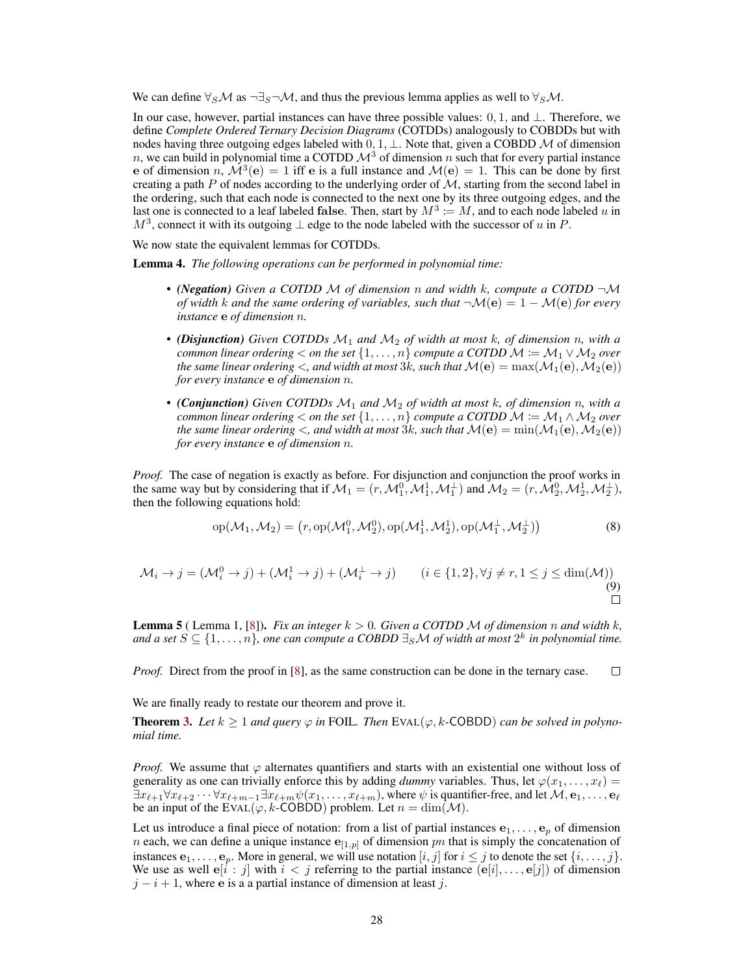We can define  $\forall s \mathcal{M}$  as  $\neg \exists s \neg \mathcal{M}$ , and thus the previous lemma applies as well to  $\forall s \mathcal{M}$ .

In our case, however, partial instances can have three possible values:  $0, 1$ , and  $\perp$ . Therefore, we define *Complete Ordered Ternary Decision Diagrams* (COTDDs) analogously to COBDDs but with nodes having three outgoing edges labeled with  $0, 1, \perp$ . Note that, given a COBDD M of dimension n, we can build in polynomial time a COTDD  $\mathcal{M}^3$  of dimension n such that for every partial instance e of dimension  $n, \dot{M}^3(e) = 1$  iff e is a full instance and  $M(e) = 1$ . This can be done by first creating a path P of nodes according to the underlying order of  $M$ , starting from the second label in the ordering, such that each node is connected to the next one by its three outgoing edges, and the last one is connected to a leaf labeled false. Then, start by  $M^3 := M$ , and to each node labeled u in  $M^3$ , connect it with its outgoing  $\perp$  edge to the node labeled with the successor of u in P.

We now state the equivalent lemmas for COTDDs.

<span id="page-15-0"></span>Lemma 4. *The following operations can be performed in polynomial time:*

- *(Negation) Given a COTDD* M *of dimension* n *and width* k*, compute a COTDD* ¬M *of width* k and the same ordering of variables, such that  $\neg M(e) = 1 - M(e)$  *for every instance* e *of dimension* n*.*
- *(Disjunction) Given COTDDs* M<sup>1</sup> *and* M<sup>2</sup> *of width at most* k*, of dimension* n*, with a common linear ordering*  $\lt$  *on the set*  $\{1, \ldots, n\}$  *compute a COTDD*  $\mathcal{M} := \mathcal{M}_1 \vee \mathcal{M}_2$  *over the same linear ordering*  $\lt$ , and width at most 3k, such that  $\mathcal{M}(\mathbf{e}) = \max(\mathcal{M}_1(\mathbf{e}), \mathcal{M}_2(\mathbf{e}))$ *for every instance* e *of dimension* n*.*
- *(Conjunction) Given COTDDs* M<sup>1</sup> *and* M<sup>2</sup> *of width at most* k*, of dimension* n*, with a common linear ordering*  $\lt$  *on the set*  $\{1, \ldots, n\}$  *compute a COTDD*  $M \coloneqq M_1 \wedge M_2$  *over the same linear ordering*  $\lt$ *, and width at most*  $3k$ *, such that*  $\mathcal{M}(e) = \min(\mathcal{M}_1(e), \mathcal{M}_2(e))$ *for every instance* e *of dimension* n*.*

*Proof.* The case of negation is exactly as before. For disjunction and conjunction the proof works in the same way but by considering that if  $M_1 = (r, M_1^0, M_1^1, M_1^{\perp})$  and  $M_2 = (r, \hat{M}_2^0, M_2^1, M_2^{\perp})$ , then the following equations hold:

$$
op(\mathcal{M}_1, \mathcal{M}_2) = (r, op(\mathcal{M}_1^0, \mathcal{M}_2^0), op(\mathcal{M}_1^1, \mathcal{M}_2^1), op(\mathcal{M}_1^\perp, \mathcal{M}_2^\perp))
$$
(8)

$$
\mathcal{M}_i \to j = (\mathcal{M}_i^0 \to j) + (\mathcal{M}_i^1 \to j) + (\mathcal{M}_i^{\perp} \to j) \qquad (i \in \{1, 2\}, \forall j \neq r, 1 \le j \le \dim(\mathcal{M}))
$$
\n(9)

<span id="page-15-1"></span>**Lemma 5** ( Lemma 1, [\[8\]](#page--1-8)). *Fix an integer*  $k > 0$ . *Given a COTDD M of dimension n and width*  $k$ , and a set  $S \subseteq \{1, \ldots, n\}$ , one can compute a COBDD  $\exists_S \mathcal{M}$  of width at most  $2^k$  in polynomial time.

*Proof.* Direct from the proof in [\[8\]](#page--1-8), as the same construction can be done in the ternary case.  $\Box$ 

We are finally ready to restate our theorem and prove it.

**Theorem [3.](#page--1-3)** Let  $k \geq 1$  and query  $\varphi$  in FOIL. Then EVAL( $\varphi$ , k-COBDD) *can be solved in polynomial time.*

*Proof.* We assume that  $\varphi$  alternates quantifiers and starts with an existential one without loss of generality as one can trivially enforce this by adding *dummy* variables. Thus, let  $\varphi(x_1, \ldots, x_\ell)$  =  $\exists x_{\ell+1} \forall x_{\ell+2} \cdots \forall x_{\ell+m-1} \exists x_{\ell+m} \psi(x_1, \ldots, x_{\ell+m})$ , where  $\psi$  is quantifier-free, and let  $\mathcal{M}, e_1, \ldots, e_\ell$ be an input of the EVAL( $\varphi$ , k-COBDD) problem. Let  $n = \dim(\mathcal{M})$ .

Let us introduce a final piece of notation: from a list of partial instances  $e_1, \ldots, e_n$  of dimension *n* each, we can define a unique instance  $e_{1,p}$  of dimension *pn* that is simply the concatenation of instances  $e_1, \ldots, e_p$ . More in general, we will use notation  $[i, j]$  for  $i \leq j$  to denote the set  $\{i, \ldots, j\}$ . We use as well  $e[i : j]$  with  $i < j$  referring to the partial instance  $(e[i], \ldots, e[j])$  of dimension  $j - i + 1$ , where e is a a partial instance of dimension at least j.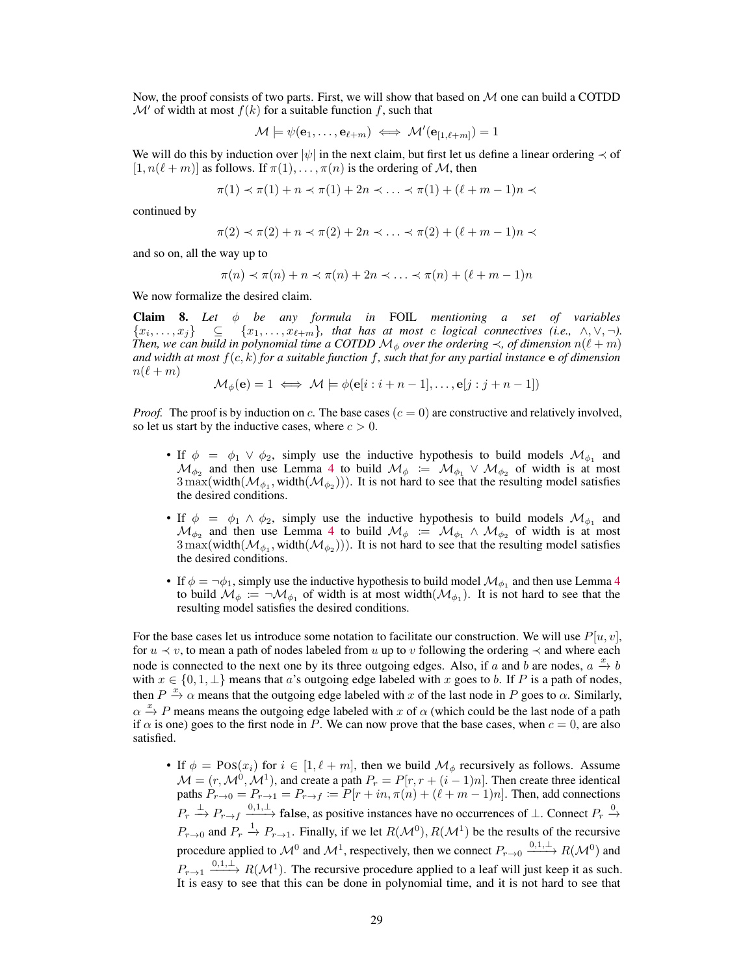Now, the proof consists of two parts. First, we will show that based on  $M$  one can build a COTDD  $\mathcal{M}'$  of width at most  $f(k)$  for a suitable function f, such that

$$
\mathcal{M} \models \psi(\mathbf{e}_1, \dots, \mathbf{e}_{\ell+m}) \iff \mathcal{M}'(\mathbf{e}_{[1,\ell+m]}) = 1
$$

We will do this by induction over  $|\psi|$  in the next claim, but first let us define a linear ordering  $\prec$  of  $[1, n(\ell + m)]$  as follows. If  $\pi(1), \ldots, \pi(n)$  is the ordering of M, then

$$
\pi(1) \prec \pi(1) + n \prec \pi(1) + 2n \prec \ldots \prec \pi(1) + (\ell + m - 1)n \prec
$$

continued by

$$
\pi(2) \prec \pi(2) + n \prec \pi(2) + 2n \prec \ldots \prec \pi(2) + (\ell + m - 1)n \prec
$$

and so on, all the way up to

$$
\pi(n) \prec \pi(n) + n \prec \pi(n) + 2n \prec \ldots \prec \pi(n) + (\ell + m - 1)n
$$

We now formalize the desired claim.

Claim 8. *Let* φ *be any formula in* FOIL *mentioning a set of variables*  $\{x_1, \ldots, x_j\}$   $\subseteq$   $\{x_1, \ldots, x_{\ell+m}\}\$ , that has at most c logical connectives (i.e.,  $\wedge, \vee, \neg$ ). *Then, we can build in polynomial time a COTDD*  $\mathcal{M}_{\phi}$  *over the ordering*  $\prec$ , *of dimension*  $n(\ell + m)$ *and width at most* f(c, k) *for a suitable function* f*, such that for any partial instance* e *of dimension*  $n(\ell + m)$ 

$$
\mathcal{M}_{\phi}(\mathbf{e}) = 1 \iff \mathcal{M} \models \phi(\mathbf{e}[i:i+n-1], \dots, \mathbf{e}[j:j+n-1])
$$

*Proof.* The proof is by induction on c. The base cases  $(c = 0)$  are constructive and relatively involved, so let us start by the inductive cases, where  $c > 0$ .

- If  $\phi = \phi_1 \lor \phi_2$ , simply use the inductive hypothesis to build models  $\mathcal{M}_{\phi_1}$  and  $\mathcal{M}_{\phi_2}$  and then use Lemma [4](#page-15-0) to build  $\mathcal{M}_{\phi} := \mathcal{M}_{\phi_1} \vee \mathcal{M}_{\phi_2}$  of width is at most  $3 \max(\text{width}(\mathcal{M}_{\phi_1}, \text{width}(\mathcal{M}_{\phi_2})))$ . It is not hard to see that the resulting model satisfies the desired conditions.
- If  $\phi = \phi_1 \wedge \phi_2$ , simply use the inductive hypothesis to build models  $\mathcal{M}_{\phi_1}$  and  $\mathcal{M}_{\phi_2}$  and then use Lemma [4](#page-15-0) to build  $\mathcal{M}_{\phi} := \mathcal{M}_{\phi_1} \wedge \mathcal{M}_{\phi_2}$  of width is at most  $3 \max(\text{width}(\mathcal{M}_{\phi_1}, \text{width}(\mathcal{M}_{\phi_2})))$ . It is not hard to see that the resulting model satisfies the desired conditions.
- If  $\phi = \neg \phi_1$ , simply use the inductive hypothesis to build model  $\mathcal{M}_{\phi_1}$  and then use Lemma [4](#page-15-0) to build  $\mathcal{M}_{\phi} := \neg \mathcal{M}_{\phi_1}$  of width is at most width $(\mathcal{M}_{\phi_1})$ . It is not hard to see that the resulting model satisfies the desired conditions.

For the base cases let us introduce some notation to facilitate our construction. We will use  $P[u, v]$ , for  $u \prec v$ , to mean a path of nodes labeled from u up to v following the ordering  $\prec$  and where each node is connected to the next one by its three outgoing edges. Also, if a and b are nodes,  $a \stackrel{x}{\rightarrow} b$ with  $x \in \{0, 1, \perp\}$  means that a's outgoing edge labeled with x goes to b. If P is a path of nodes, then  $P \stackrel{x}{\rightarrow} \alpha$  means that the outgoing edge labeled with x of the last node in P goes to  $\alpha$ . Similarly,  $\alpha \stackrel{x}{\rightarrow} P$  means means the outgoing edge labeled with x of  $\alpha$  (which could be the last node of a path if  $\alpha$  is one) goes to the first node in P. We can now prove that the base cases, when  $c = 0$ , are also satisfied.

• If  $\phi = \text{Pos}(x_i)$  for  $i \in [1, \ell + m]$ , then we build  $\mathcal{M}_{\phi}$  recursively as follows. Assume  $\mathcal{M} = (r, \mathcal{M}^0, \mathcal{M}^1)$ , and create a path  $P_r = P[r, r + (i - 1)n]$ . Then create three identical paths  $P_{r\to 0} = P_{r\to 1} = P_{r\to f} := P[r + in, \pi(n) + (\ell + m - 1)n]$ . Then, add connections  $P_r \xrightarrow{\perp} P_{r \to f} \xrightarrow{0,1,\perp}$  false, as positive instances have no occurrences of  $\perp$ . Connect  $P_r \xrightarrow{0}$  $P_{r\to 0}$  and  $P_r \to P_{r\to 1}$ . Finally, if we let  $R(\mathcal{M}^0), R(\mathcal{M}^1)$  be the results of the recursive procedure applied to  $\mathcal{M}^0$  and  $\mathcal{M}^1$ , respectively, then we connect  $P_{r\to 0} \xrightarrow{0,1,\perp} R(\mathcal{M}^0)$  and  $P_{r\to 1} \xrightarrow{0,1,\perp} R(\mathcal{M}^1)$ . The recursive procedure applied to a leaf will just keep it as such. It is easy to see that this can be done in polynomial time, and it is not hard to see that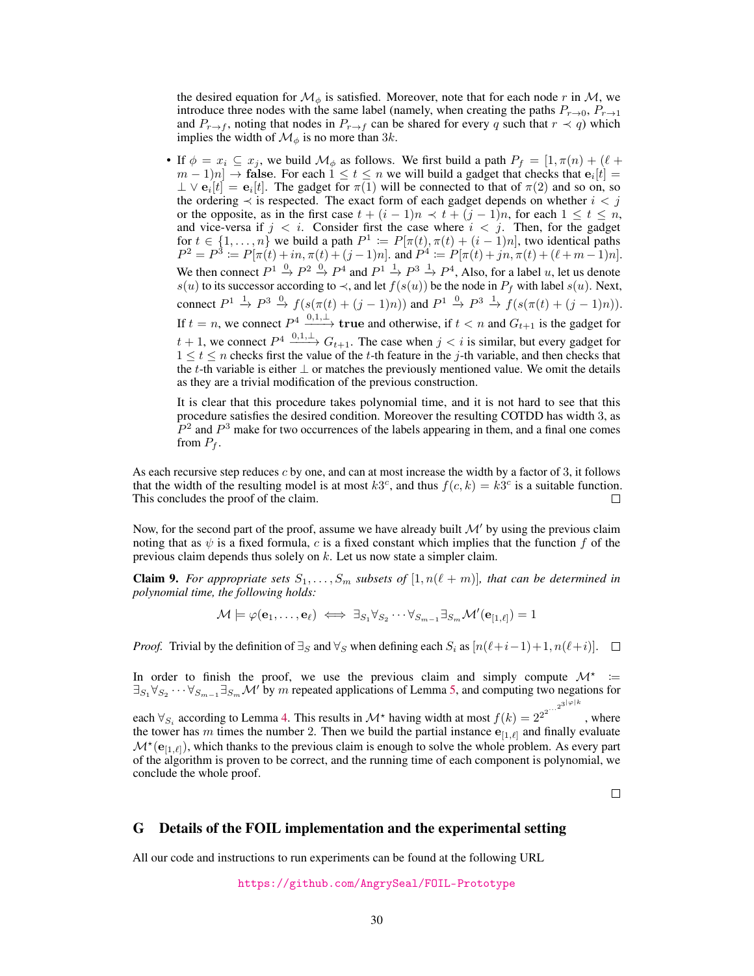the desired equation for  $\mathcal{M}_{\phi}$  is satisfied. Moreover, note that for each node r in  $\mathcal{M}$ , we introduce three nodes with the same label (namely, when creating the paths  $P_{r\rightarrow 0}$ ,  $P_{r\rightarrow 1}$ ) and  $P_{r\to f}$ , noting that nodes in  $P_{r\to f}$  can be shared for every q such that  $r \prec q$ ) which implies the width of  $\mathcal{M}_{\phi}$  is no more than 3k.

• If  $\phi = x_i \subseteq x_j$ , we build  $\mathcal{M}_\phi$  as follows. We first build a path  $P_f = [1, \pi(n) + (\ell +$  $(m-1)n] \rightarrow$  false. For each  $1 \le t \le n$  we will build a gadget that checks that  $e_i[t] =$  $\perp \vee e_i[t] = e_i[t]$ . The gadget for  $\pi(1)$  will be connected to that of  $\pi(2)$  and so on, so the ordering  $\prec$  is respected. The exact form of each gadget depends on whether  $i < j$ or the opposite, as in the first case  $t + (i - 1)n \le t + (j - 1)n$ , for each  $1 \le t \le n$ , and vice-versa if  $j < i$ . Consider first the case where  $i < j$ . Then, for the gadget for  $t \in \{1, \ldots, n\}$  we build a path  $P^1 := P[\pi(t), \pi(t) + (i-1)n]$ , two identical paths  $P^2 = P^3 := P[\pi(t) + in, \pi(t) + (j-1)n]$ . and  $P^4 := P[\pi(t) + in, \pi(t) + (\ell+m-1)n]$ . We then connect  $P^1 \stackrel{0}{\rightarrow} P^2 \stackrel{0}{\rightarrow} P^4$  and  $P^1 \stackrel{1}{\rightarrow} P^3 \stackrel{1}{\rightarrow} P^4$ , Also, for a label u, let us denote s(u) to its successor according to  $\prec$ , and let  $f(s(u))$  be the node in  $P_f$  with label s(u). Next, connect  $P^1 \stackrel{1}{\rightarrow} P^3 \stackrel{0}{\rightarrow} f(s(\pi(t) + (j-1)n))$  and  $P^1 \stackrel{0}{\rightarrow} P^3 \stackrel{1}{\rightarrow} f(s(\pi(t) + (j-1)n))$ . If  $t = n$ , we connect  $P^4 \xrightarrow{0,1,\perp}$  true and otherwise, if  $t < n$  and  $G_{t+1}$  is the gadget for  $t + 1$ , we connect  $P^4 \xrightarrow{0,1,\perp} G_{t+1}$ . The case when  $j < i$  is similar, but every gadget for  $1 \leq t \leq n$  checks first the value of the t-th feature in the j-th variable, and then checks that the t-th variable is either  $\perp$  or matches the previously mentioned value. We omit the details as they are a trivial modification of the previous construction.

It is clear that this procedure takes polynomial time, and it is not hard to see that this procedure satisfies the desired condition. Moreover the resulting COTDD has width 3, as  $\hat{P}^2$  and  $P^3$  make for two occurrences of the labels appearing in them, and a final one comes from  $P_f$ .

As each recursive step reduces  $c$  by one, and can at most increase the width by a factor of 3, it follows that the width of the resulting model is at most  $k3<sup>c</sup>$ , and thus  $f(c, k) = k3<sup>c</sup>$  is a suitable function. This concludes the proof of the claim. П

Now, for the second part of the proof, assume we have already built  $\mathcal{M}'$  by using the previous claim noting that as  $\psi$  is a fixed formula, c is a fixed constant which implies that the function f of the previous claim depends thus solely on  $k$ . Let us now state a simpler claim.

**Claim 9.** For appropriate sets  $S_1, \ldots, S_m$  subsets of  $[1, n(\ell + m)]$ , that can be determined in *polynomial time, the following holds:*

$$
\mathcal{M} \models \varphi(\mathbf{e}_1, \dots, \mathbf{e}_{\ell}) \iff \exists_{S_1} \forall_{S_2} \cdots \forall_{S_{m-1}} \exists_{S_m} \mathcal{M}'(\mathbf{e}_{[1,\ell]}) = 1
$$

*Proof.* Trivial by the definition of  $\exists_S$  and  $\forall_S$  when defining each  $S_i$  as  $[n(\ell+i-1)+1, n(\ell+i)]$ .  $\Box$ 

In order to finish the proof, we use the previous claim and simply compute  $\mathcal{M}^*$  :=  $\exists_{S_1} \forall_{S_2} \cdots \forall_{S_{m-1}} \exists_{S_m} \mathcal{M}'$  by m repeated applications of Lemma [5,](#page-15-1) and computing two negations for

each  $\forall_{S_i}$  according to Lemma [4.](#page-15-0) This results in  $\mathcal{M}^*$  having width at most  $f(k) = 2^{2^{2^{...2^{3|\varphi|k}}}}$ , where the tower has m times the number 2. Then we build the partial instance  $e_{[1,\ell]}$  and finally evaluate  $\mathcal{M}^*(e_{[1,\ell]})$ , which thanks to the previous claim is enough to solve the whole problem. As every part of the algorithm is proven to be correct, and the running time of each component is polynomial, we conclude the whole proof.

 $\Box$ 

#### <span id="page-17-0"></span>G Details of the FOIL implementation and the experimental setting

All our code and instructions to run experiments can be found at the following URL

<https://github.com/AngrySeal/FOIL-Prototype>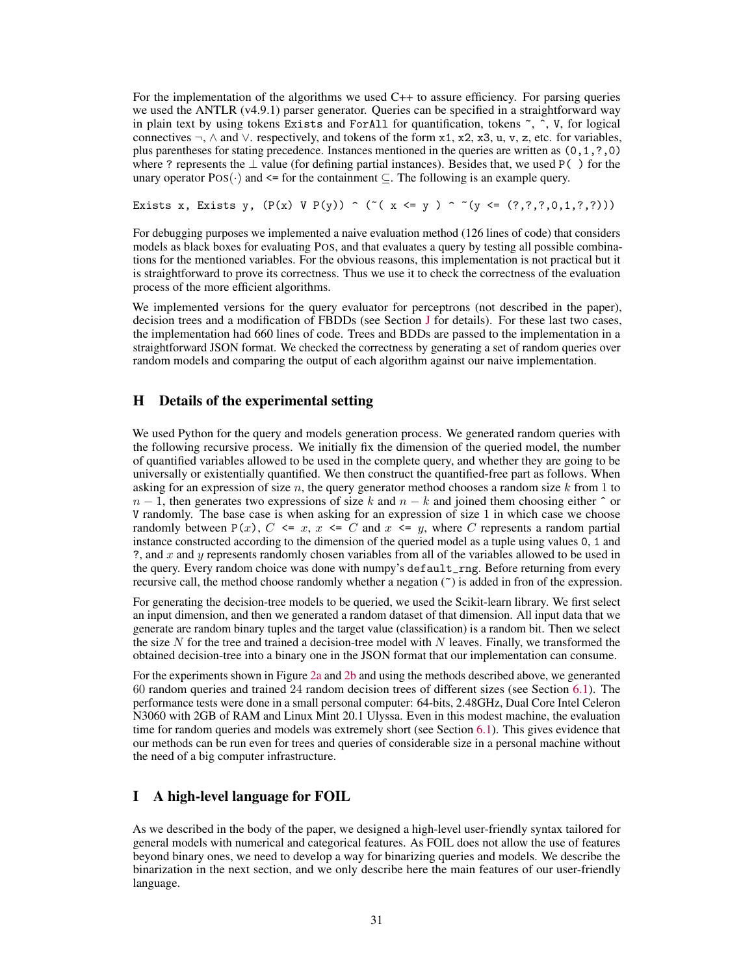For the implementation of the algorithms we used C++ to assure efficiency. For parsing queries we used the ANTLR (v4.9.1) parser generator. Queries can be specified in a straightforward way in plain text by using tokens Exists and ForAll for quantification, tokens ~, ˆ, V, for logical connectives  $\neg$ ,  $\wedge$  and  $\vee$ . respectively, and tokens of the form x1, x2, x3, u, v, z, etc. for variables, plus parentheses for stating precedence. Instances mentioned in the queries are written as (0,1,?,0) where ? represents the  $\perp$  value (for defining partial instances). Besides that, we used P() for the unary operator  $Pos(\cdot)$  and  $\leq$  for the containment  $\subseteq$ . The following is an example query.

Exists x, Exists y,  $(P(x) \ V P(y)) \cap (T(x \le y) \cap T(y \le (?,?,?,0,1,?,?)))$ 

For debugging purposes we implemented a naive evaluation method (126 lines of code) that considers models as black boxes for evaluating POS, and that evaluates a query by testing all possible combinations for the mentioned variables. For the obvious reasons, this implementation is not practical but it is straightforward to prove its correctness. Thus we use it to check the correctness of the evaluation process of the more efficient algorithms.

We implemented versions for the query evaluator for perceptrons (not described in the paper), decision trees and a modification of FBDDs (see Section [J](#page-19-0) for details). For these last two cases, the implementation had 660 lines of code. Trees and BDDs are passed to the implementation in a straightforward JSON format. We checked the correctness by generating a set of random queries over random models and comparing the output of each algorithm against our naive implementation.

## <span id="page-18-0"></span>H Details of the experimental setting

We used Python for the query and models generation process. We generated random queries with the following recursive process. We initially fix the dimension of the queried model, the number of quantified variables allowed to be used in the complete query, and whether they are going to be universally or existentially quantified. We then construct the quantified-free part as follows. When asking for an expression of size n, the query generator method chooses a random size k from 1 to  $n-1$ , then generates two expressions of size k and  $n-k$  and joined them choosing either  $\hat{ }$  or V randomly. The base case is when asking for an expression of size 1 in which case we choose randomly between  $P(x)$ ,  $C \le x$ ,  $x \le C$  and  $x \le y$ , where C represents a random partial instance constructed according to the dimension of the queried model as a tuple using values 0, 1 and ?, and  $x$  and  $y$  represents randomly chosen variables from all of the variables allowed to be used in the query. Every random choice was done with numpy's default\_rng. Before returning from every recursive call, the method choose randomly whether a negation  $(\tilde{\ } )$  is added in fron of the expression.

For generating the decision-tree models to be queried, we used the Scikit-learn library. We first select an input dimension, and then we generated a random dataset of that dimension. All input data that we generate are random binary tuples and the target value (classification) is a random bit. Then we select the size  $N$  for the tree and trained a decision-tree model with  $N$  leaves. Finally, we transformed the obtained decision-tree into a binary one in the JSON format that our implementation can consume.

For the experiments shown in Figure [2a](#page--1-10) and [2b](#page--1-10) and using the methods described above, we generanted 60 random queries and trained 24 random decision trees of different sizes (see Section [6.1\)](#page--1-11). The performance tests were done in a small personal computer: 64-bits, 2.48GHz, Dual Core Intel Celeron N3060 with 2GB of RAM and Linux Mint 20.1 Ulyssa. Even in this modest machine, the evaluation time for random queries and models was extremely short (see Section [6.1\)](#page--1-11). This gives evidence that our methods can be run even for trees and queries of considerable size in a personal machine without the need of a big computer infrastructure.

## <span id="page-18-1"></span>I A high-level language for FOIL

As we described in the body of the paper, we designed a high-level user-friendly syntax tailored for general models with numerical and categorical features. As FOIL does not allow the use of features beyond binary ones, we need to develop a way for binarizing queries and models. We describe the binarization in the next section, and we only describe here the main features of our user-friendly language.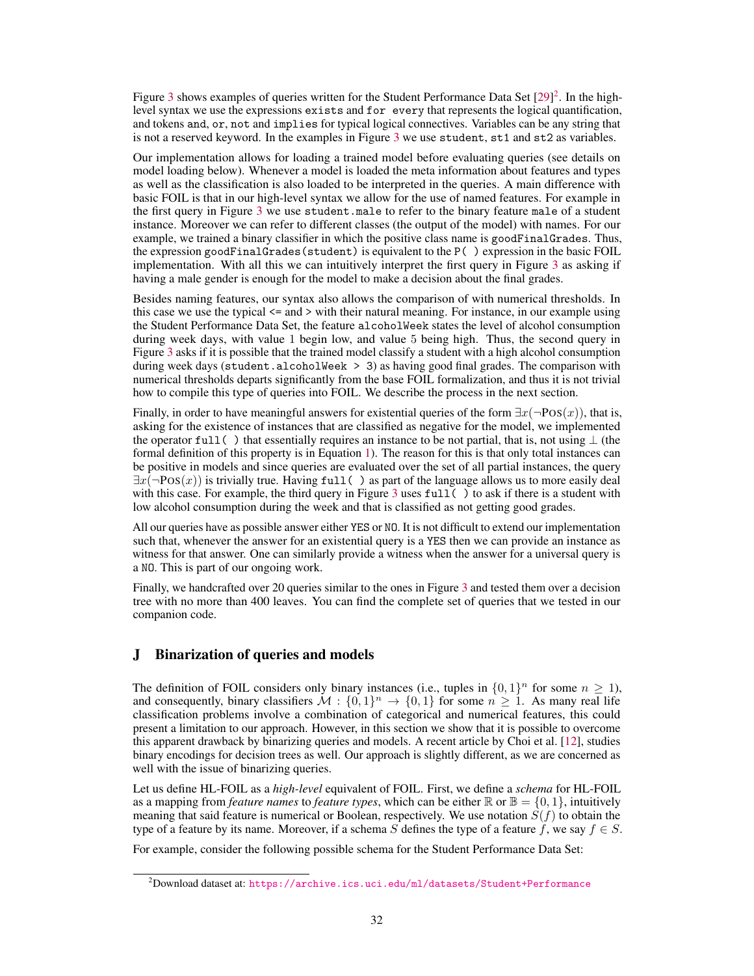Figure [3](#page-20-0) shows examples of queries written for the Student Performance Data Set [\[29\]](#page--1-12)<sup>[2](#page-19-1)</sup>. In the highlevel syntax we use the expressions exists and for every that represents the logical quantification, and tokens and, or, not and implies for typical logical connectives. Variables can be any string that is not a reserved keyword. In the examples in Figure [3](#page-20-0) we use student, st1 and st2 as variables.

Our implementation allows for loading a trained model before evaluating queries (see details on model loading below). Whenever a model is loaded the meta information about features and types as well as the classification is also loaded to be interpreted in the queries. A main difference with basic FOIL is that in our high-level syntax we allow for the use of named features. For example in the first query in Figure [3](#page-20-0) we use student.male to refer to the binary feature male of a student instance. Moreover we can refer to different classes (the output of the model) with names. For our example, we trained a binary classifier in which the positive class name is goodFinalGrades. Thus, the expression goodFinalGrades(student) is equivalent to the P( ) expression in the basic FOIL implementation. With all this we can intuitively interpret the first query in Figure [3](#page-20-0) as asking if having a male gender is enough for the model to make a decision about the final grades.

Besides naming features, our syntax also allows the comparison of with numerical thresholds. In this case we use the typical <= and > with their natural meaning. For instance, in our example using the Student Performance Data Set, the feature alcoholWeek states the level of alcohol consumption during week days, with value 1 begin low, and value 5 being high. Thus, the second query in Figure [3](#page-20-0) asks if it is possible that the trained model classify a student with a high alcohol consumption during week days (student.alcoholWeek > 3) as having good final grades. The comparison with numerical thresholds departs significantly from the base FOIL formalization, and thus it is not trivial how to compile this type of queries into FOIL. We describe the process in the next section.

Finally, in order to have meaningful answers for existential queries of the form  $\exists x (\neg Pos(x))$ , that is, asking for the existence of instances that are classified as negative for the model, we implemented the operator full( ) that essentially requires an instance to be not partial, that is, not using  $\perp$  (the formal definition of this property is in Equation [1\)](#page--1-13). The reason for this is that only total instances can be positive in models and since queries are evaluated over the set of all partial instances, the query  $\exists x(\neg Pos(x))$  is trivially true. Having full () as part of the language allows us to more easily deal with this case. For example, the third query in Figure [3](#page-20-0) uses full () to ask if there is a student with low alcohol consumption during the week and that is classified as not getting good grades.

All our queries have as possible answer either YES or NO. It is not difficult to extend our implementation such that, whenever the answer for an existential query is a YES then we can provide an instance as witness for that answer. One can similarly provide a witness when the answer for a universal query is a NO. This is part of our ongoing work.

Finally, we handcrafted over 20 queries similar to the ones in Figure [3](#page-20-0) and tested them over a decision tree with no more than 400 leaves. You can find the complete set of queries that we tested in our companion code.

## <span id="page-19-0"></span>J Binarization of queries and models

The definition of FOIL considers only binary instances (i.e., tuples in  $\{0,1\}^n$  for some  $n \geq 1$ ), and consequently, binary classifiers  $M : \{0,1\}^n \to \{0,1\}$  for some  $n \geq 1$ . As many real life classification problems involve a combination of categorical and numerical features, this could present a limitation to our approach. However, in this section we show that it is possible to overcome this apparent drawback by binarizing queries and models. A recent article by Choi et al. [\[12\]](#page--1-14), studies binary encodings for decision trees as well. Our approach is slightly different, as we are concerned as well with the issue of binarizing queries.

Let us define HL-FOIL as a *high-level* equivalent of FOIL. First, we define a *schema* for HL-FOIL as a mapping from *feature names* to *feature types*, which can be either  $\mathbb{R}$  or  $\mathbb{B} = \{0, 1\}$ , intuitively meaning that said feature is numerical or Boolean, respectively. We use notation  $S(f)$  to obtain the type of a feature by its name. Moreover, if a schema S defines the type of a feature f, we say  $f \in S$ .

For example, consider the following possible schema for the Student Performance Data Set:

<span id="page-19-1"></span> $^{2}$ Download dataset at: <https://archive.ics.uci.edu/ml/datasets/Student+Performance>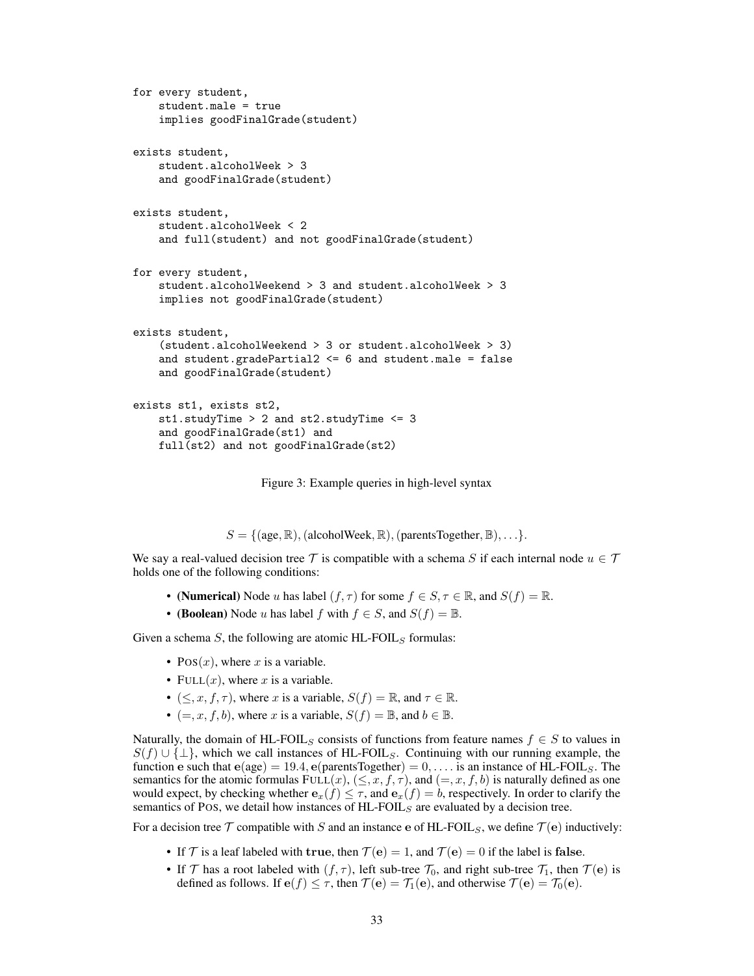```
for every student,
    student.male = true
    implies goodFinalGrade(student)
exists student,
    student.alcoholWeek > 3
    and goodFinalGrade(student)
exists student,
    student.alcoholWeek < 2
    and full(student) and not goodFinalGrade(student)
for every student,
    student.alcoholWeekend > 3 and student.alcoholWeek > 3
    implies not goodFinalGrade(student)
exists student,
    (student.alcoholWeekend > 3 or student.alcoholWeek > 3)
    and student.gradePartial2 \leq 6 and student.male = false
    and goodFinalGrade(student)
exists st1, exists st2,
    st1.studyTime > 2 and st2.studyTime <= 3
    and goodFinalGrade(st1) and
    full(st2) and not goodFinalGrade(st2)
```
Figure 3: Example queries in high-level syntax

 $S = \{ (age, \mathbb{R}), (alcohol Week, \mathbb{R}), (parentsTogether, \mathbb{B}), \ldots \}.$ 

We say a real-valued decision tree T is compatible with a schema S if each internal node  $u \in T$ holds one of the following conditions:

- (Numerical) Node u has label  $(f, \tau)$  for some  $f \in S, \tau \in \mathbb{R}$ , and  $S(f) = \mathbb{R}$ .
- (Boolean) Node u has label f with  $f \in S$ , and  $S(f) = \mathbb{B}$ .

Given a schema  $S$ , the following are atomic HL-FOIL<sub>S</sub> formulas:

- $Pos(x)$ , where x is a variable.
- FULL $(x)$ , where x is a variable.
- $(\leq, x, f, \tau)$ , where x is a variable,  $S(f) = \mathbb{R}$ , and  $\tau \in \mathbb{R}$ .
- $(=, x, f, b)$ , where x is a variable,  $S(f) = \mathbb{B}$ , and  $b \in \mathbb{B}$ .

Naturally, the domain of HL-FOIL<sub>S</sub> consists of functions from feature names  $f \in S$  to values in  $S(f) \cup \{\perp\}$ , which we call instances of HL-FOIL<sub>S</sub>. Continuing with our running example, the function e such that  $e(age) = 19.4$ ,  $e(parentsTogether) = 0, \ldots$  is an instance of HL-FOIL<sub>S</sub>. The semantics for the atomic formulas FULL $(x)$ ,  $(\leq, x, f, \tau)$ , and  $(=, x, f, b)$  is naturally defined as one would expect, by checking whether  $e_x(f) \leq \tau$ , and  $e_x(f) = b$ , respectively. In order to clarify the semantics of POS, we detail how instances of  $HL$ -FOIL<sub>S</sub> are evaluated by a decision tree.

For a decision tree  $\mathcal T$  compatible with S and an instance e of HL-FOIL<sub>S</sub>, we define  $\mathcal T(\mathbf{e})$  inductively:

- If  $\mathcal T$  is a leaf labeled with true, then  $\mathcal T(e) = 1$ , and  $\mathcal T(e) = 0$  if the label is false.
- If  $\mathcal T$  has a root labeled with  $(f, \tau)$ , left sub-tree  $\mathcal T_0$ , and right sub-tree  $\mathcal T_1$ , then  $\mathcal T(\mathbf{e})$  is defined as follows. If  $e(f) \leq \tau$ , then  $\mathcal{T}(\mathbf{e}) = \mathcal{T}_1(\mathbf{e})$ , and otherwise  $\mathcal{T}(\mathbf{e}) = \mathcal{T}_0(\mathbf{e})$ .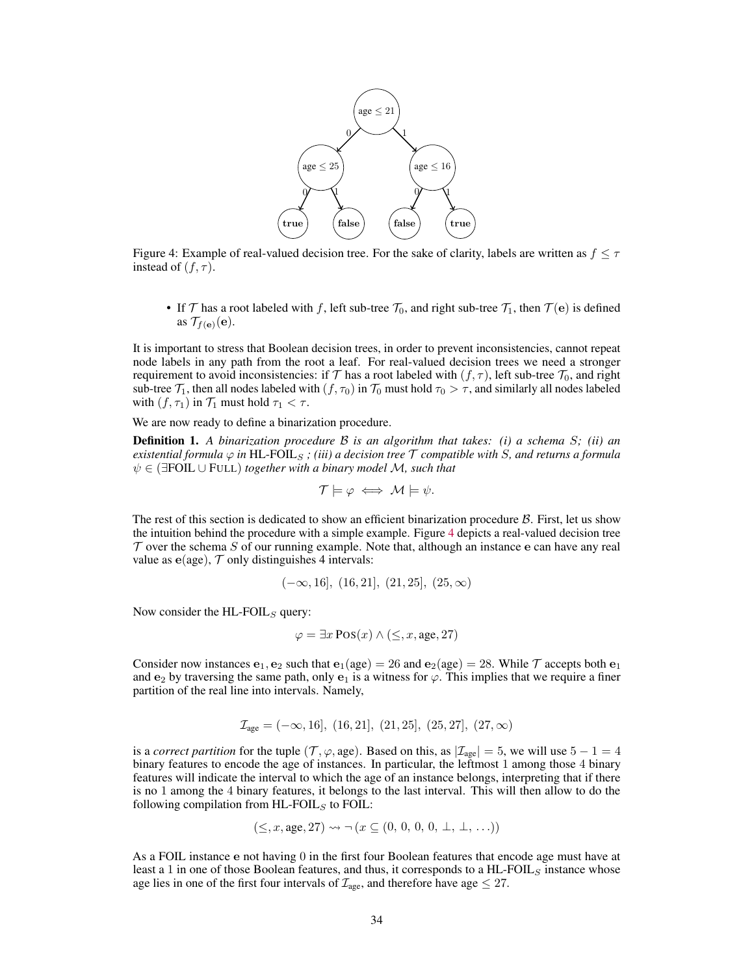<span id="page-21-0"></span>

Figure 4: Example of real-valued decision tree. For the sake of clarity, labels are written as  $f \leq \tau$ instead of  $(f, \tau)$ .

• If  $\mathcal T$  has a root labeled with f, left sub-tree  $\mathcal T_0$ , and right sub-tree  $\mathcal T_1$ , then  $\mathcal T(\mathbf e)$  is defined as  $\mathcal{T}_{f(\mathbf{e})}(\mathbf{e})$ .

It is important to stress that Boolean decision trees, in order to prevent inconsistencies, cannot repeat node labels in any path from the root a leaf. For real-valued decision trees we need a stronger requirement to avoid inconsistencies: if T has a root labeled with  $(f, \tau)$ , left sub-tree  $\mathcal{T}_0$ , and right sub-tree  $\mathcal{T}_1$ , then all nodes labeled with  $(f, \tau_0)$  in  $\mathcal{T}_0$  must hold  $\tau_0 > \tau$ , and similarly all nodes labeled with  $(f, \tau_1)$  in  $\mathcal{T}_1$  must hold  $\tau_1 < \tau$ .

We are now ready to define a binarization procedure.

Definition 1. *A binarization procedure* B *is an algorithm that takes: (i) a schema* S*; (ii) an existential formula*  $\varphi$  *in* HL-FOIL<sub>S</sub>; *(iii)* a decision tree  $\tau$  compatible with S, and returns a formula ψ ∈ (∃FOIL ∪ FULL) *together with a binary model* M*, such that*

$$
\mathcal{T} \models \varphi \iff \mathcal{M} \models \psi.
$$

The rest of this section is dedicated to show an efficient binarization procedure  $\beta$ . First, let us show the intuition behind the procedure with a simple example. Figure [4](#page-21-0) depicts a real-valued decision tree  $\tau$  over the schema S of our running example. Note that, although an instance e can have any real value as  $e(age)$ ,  $\mathcal T$  only distinguishes 4 intervals:

$$
(-\infty, 16], (16, 21], (21, 25], (25, \infty)
$$

Now consider the  $HL$ -FOIL<sub>S</sub> query:

$$
\varphi = \exists x \, \text{Pos}(x) \land (\leq, x, \text{age}, 27)
$$

Consider now instances  $e_1$ ,  $e_2$  such that  $e_1(age) = 26$  and  $e_2(age) = 28$ . While T accepts both  $e_1$ and  $e_2$  by traversing the same path, only  $e_1$  is a witness for  $\varphi$ . This implies that we require a finer partition of the real line into intervals. Namely,

$$
\mathcal{I}_{\text{age}} = (-\infty, 16], (16, 21], (21, 25], (25, 27], (27, \infty)
$$

is a *correct partition* for the tuple ( $\mathcal{T}, \varphi$ , age). Based on this, as  $|\mathcal{I}_{\text{age}}| = 5$ , we will use  $5 - 1 = 4$ binary features to encode the age of instances. In particular, the leftmost 1 among those 4 binary features will indicate the interval to which the age of an instance belongs, interpreting that if there is no 1 among the 4 binary features, it belongs to the last interval. This will then allow to do the following compilation from  $HL$ -FOIL<sub>S</sub> to FOIL:

$$
(\leq, x, \text{age}, 27) \rightsquigarrow \neg (x \subseteq (0, 0, 0, 0, \perp, \perp, \ldots))
$$

As a FOIL instance e not having 0 in the first four Boolean features that encode age must have at least a 1 in one of those Boolean features, and thus, it corresponds to a HL-FOIL<sub>S</sub> instance whose age lies in one of the first four intervals of  $\mathcal{I}_{\text{age}}$ , and therefore have age  $\leq 27$ .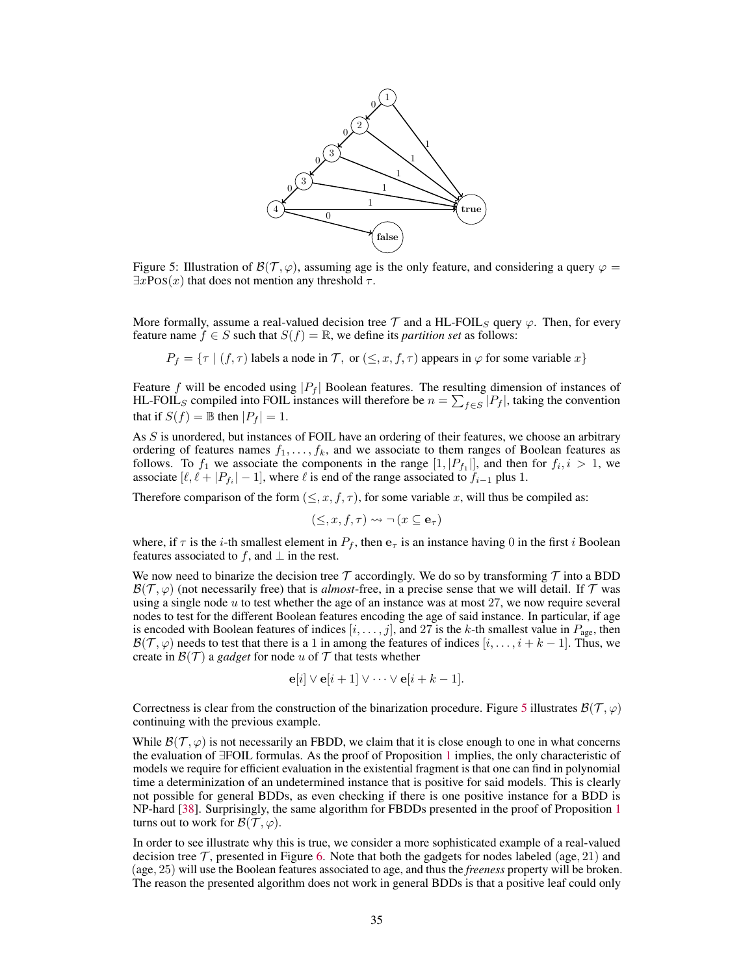<span id="page-22-0"></span>

Figure 5: Illustration of  $\mathcal{B}(\mathcal{T}, \varphi)$ , assuming age is the only feature, and considering a query  $\varphi =$  $\exists x \text{Pos}(x)$  that does not mention any threshold  $\tau$ .

More formally, assume a real-valued decision tree  $\mathcal T$  and a HL-FOIL<sub>S</sub> query  $\varphi$ . Then, for every feature name  $f \in S$  such that  $S(f) = \mathbb{R}$ , we define its *partition set* as follows:

 $P_f = \{\tau \mid (f, \tau) \text{ labels a node in } \mathcal{T}, \text{ or } (\leq, x, f, \tau) \text{ appears in } \varphi \text{ for some variable } x\}$ 

Feature f will be encoded using  $|P_f|$  Boolean features. The resulting dimension of instances of HL-FOIL<sub>S</sub> compiled into FOIL instances will therefore be  $n = \sum_{f \in S} |P_f|$ , taking the convention that if  $S(f) = \mathbb{B}$  then  $|P_f| = 1$ .

As S is unordered, but instances of FOIL have an ordering of their features, we choose an arbitrary ordering of features names  $f_1, \ldots, f_k$ , and we associate to them ranges of Boolean features as follows. To  $f_1$  we associate the components in the range  $[1, |P_{f_1}|]$ , and then for  $f_i, i > 1$ , we associate  $[\ell, \ell + |P_{f_i}| - 1]$ , where  $\ell$  is end of the range associated to  $f_{i-1}$  plus 1.

Therefore comparison of the form  $(\leq, x, f, \tau)$ , for some variable x, will thus be compiled as:

$$
(\leq, x, f, \tau) \leadsto \neg (x \subseteq \mathbf{e}_{\tau})
$$

where, if  $\tau$  is the *i*-th smallest element in  $P_f$ , then  $\mathbf{e}_{\tau}$  is an instance having 0 in the first *i* Boolean features associated to f, and  $\perp$  in the rest.

We now need to binarize the decision tree T accordingly. We do so by transforming T into a BDD  $\mathcal{B}(\mathcal{T}, \varphi)$  (not necessarily free) that is *almost*-free, in a precise sense that we will detail. If  $\mathcal T$  was using a single node  $u$  to test whether the age of an instance was at most 27, we now require several nodes to test for the different Boolean features encoding the age of said instance. In particular, if age is encoded with Boolean features of indices  $[i, \ldots, j]$ , and 27 is the k-th smallest value in  $P_{\text{age}}$ , then  $\mathcal{B}(\mathcal{T}, \varphi)$  needs to test that there is a 1 in among the features of indices  $[i, \ldots, i + k - 1]$ . Thus, we create in  $\mathcal{B}(\mathcal{T})$  a *gadget* for node u of  $\mathcal T$  that tests whether

$$
\mathbf{e}[i] \vee \mathbf{e}[i+1] \vee \cdots \vee \mathbf{e}[i+k-1].
$$

Correctness is clear from the construction of the binarization procedure. Figure [5](#page-22-0) illustrates  $\mathcal{B}(\mathcal{T}, \varphi)$ continuing with the previous example.

While  $\mathcal{B}(\mathcal{T}, \varphi)$  is not necessarily an FBDD, we claim that it is close enough to one in what concerns the evaluation of ∃FOIL formulas. As the proof of Proposition [1](#page--1-5) implies, the only characteristic of models we require for efficient evaluation in the existential fragment is that one can find in polynomial time a determinization of an undetermined instance that is positive for said models. This is clearly not possible for general BDDs, as even checking if there is one positive instance for a BDD is NP-hard [\[38\]](#page--1-15). Surprisingly, the same algorithm for FBDDs presented in the proof of Proposition [1](#page--1-5) turns out to work for  $\mathcal{B}(\mathcal{T}, \varphi)$ .

In order to see illustrate why this is true, we consider a more sophisticated example of a real-valued decision tree  $\mathcal T$ , presented in Figure [6.](#page-23-0) Note that both the gadgets for nodes labeled (age, 21) and (age, 25) will use the Boolean features associated to age, and thus the *freeness* property will be broken. The reason the presented algorithm does not work in general BDDs is that a positive leaf could only